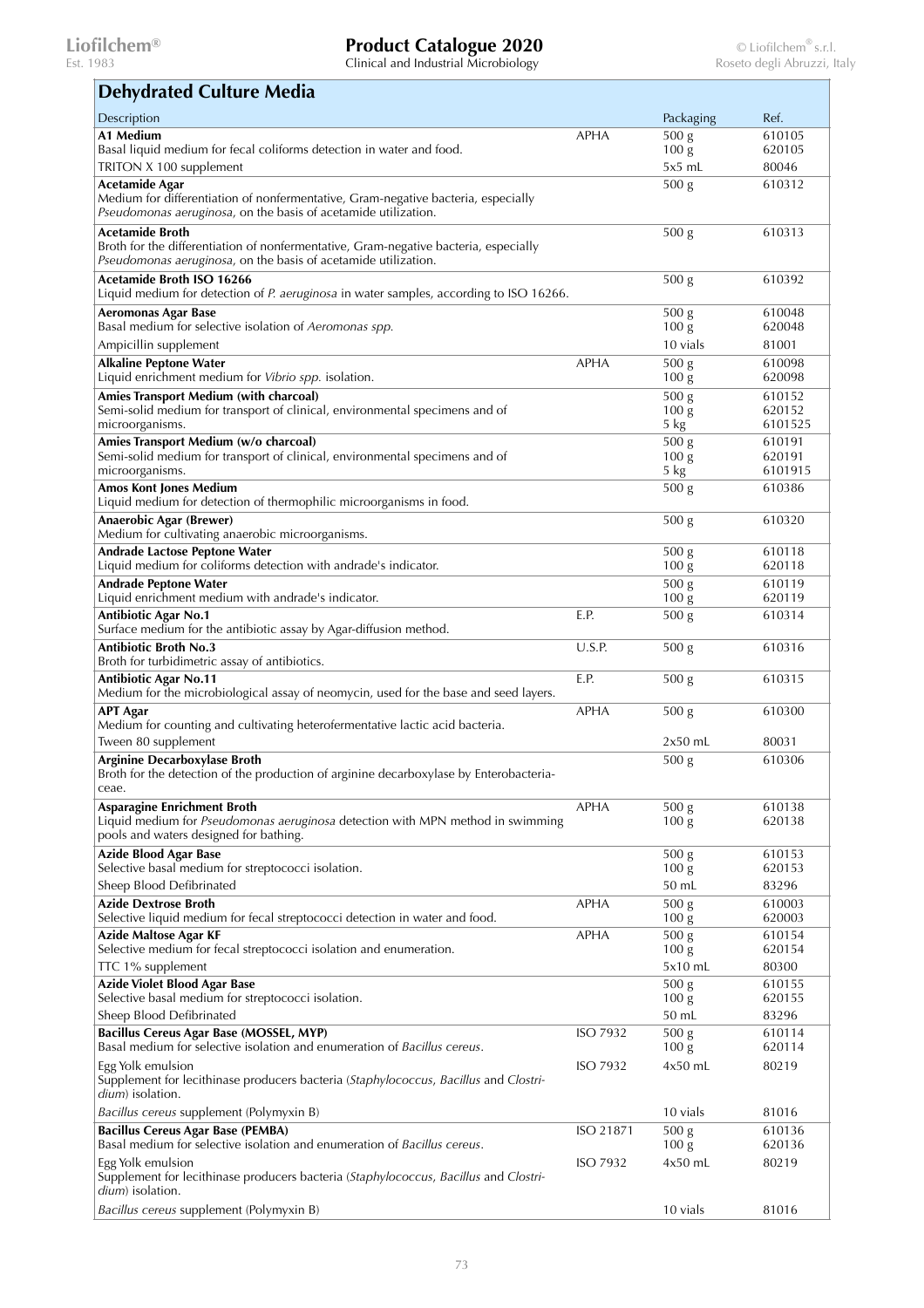Est. 1983 Clinical and Industrial Microbiology Roseto degli Abruzzi, Italy

٦

## **Dehydrated Culture Media**

| DENYURICU CURULE MEUR                                                                                                                               |                 |                                      |                  |
|-----------------------------------------------------------------------------------------------------------------------------------------------------|-----------------|--------------------------------------|------------------|
| Description                                                                                                                                         |                 | Packaging                            | Ref.             |
| A1 Medium                                                                                                                                           | <b>APHA</b>     | 500 <sub>g</sub>                     | 610105           |
| Basal liquid medium for fecal coliforms detection in water and food.                                                                                |                 | 100 <sub>g</sub>                     | 620105           |
| TRITON X 100 supplement                                                                                                                             |                 | $5x5$ mL                             | 80046            |
| <b>Acetamide Agar</b>                                                                                                                               |                 | 500 <sub>g</sub>                     | 610312           |
| Medium for differentiation of nonfermentative, Gram-negative bacteria, especially<br>Pseudomonas aeruginosa, on the basis of acetamide utilization. |                 |                                      |                  |
|                                                                                                                                                     |                 |                                      |                  |
| <b>Acetamide Broth</b><br>Broth for the differentiation of nonfermentative, Gram-negative bacteria, especially                                      |                 | 500 <sub>g</sub>                     | 610313           |
| Pseudomonas aeruginosa, on the basis of acetamide utilization.                                                                                      |                 |                                      |                  |
| Acetamide Broth ISO 16266                                                                                                                           |                 | 500 <sub>g</sub>                     | 610392           |
| Liquid medium for detection of P. aeruginosa in water samples, according to ISO 16266.                                                              |                 |                                      |                  |
| <b>Aeromonas Agar Base</b>                                                                                                                          |                 | 500 <sub>g</sub>                     | 610048           |
| Basal medium for selective isolation of Aeromonas spp.                                                                                              |                 | 100 <sub>g</sub>                     | 620048           |
| Ampicillin supplement                                                                                                                               |                 | 10 vials                             | 81001            |
| <b>Alkaline Peptone Water</b>                                                                                                                       | <b>APHA</b>     | 500 <sub>g</sub>                     | 610098           |
| Liquid enrichment medium for Vibrio spp. isolation.                                                                                                 |                 | 100 <sub>g</sub>                     | 620098           |
| Amies Transport Medium (with charcoal)<br>Semi-solid medium for transport of clinical, environmental specimens and of                               |                 | 500 g<br>100 <sub>g</sub>            | 610152<br>620152 |
| microorganisms.                                                                                                                                     |                 | 5 kg                                 | 6101525          |
| Amies Transport Medium (w/o charcoal)                                                                                                               |                 | 500 g                                | 610191           |
| Semi-solid medium for transport of clinical, environmental specimens and of                                                                         |                 | 100 <sub>g</sub>                     | 620191           |
| microorganisms.                                                                                                                                     |                 | 5 kg                                 | 6101915          |
| <b>Amos Kont Jones Medium</b><br>Liquid medium for detection of thermophilic microorganisms in food.                                                |                 | 500 <sub>g</sub>                     | 610386           |
|                                                                                                                                                     |                 |                                      |                  |
| Anaerobic Agar (Brewer)<br>Medium for cultivating anaerobic microorganisms.                                                                         |                 | 500 <sub>g</sub>                     | 610320           |
| Andrade Lactose Peptone Water                                                                                                                       |                 | 500 <sub>g</sub>                     | 610118           |
| Liquid medium for coliforms detection with andrade's indicator.                                                                                     |                 | 100 <sub>g</sub>                     | 620118           |
| <b>Andrade Peptone Water</b>                                                                                                                        |                 | $\overline{500}$ g                   | 610119           |
| Liquid enrichment medium with andrade's indicator.                                                                                                  |                 | 100 <sub>g</sub>                     | 620119           |
| <b>Antibiotic Agar No.1</b><br>Surface medium for the antibiotic assay by Agar-diffusion method.                                                    | E.P.            | 500 <sub>g</sub>                     | 610314           |
| <b>Antibiotic Broth No.3</b><br>Broth for turbidimetric assay of antibiotics.                                                                       | U.S.P.          | 500 <sub>g</sub>                     | 610316           |
| <b>Antibiotic Agar No.11</b><br>Medium for the microbiological assay of neomycin, used for the base and seed layers.                                | E.P.            | 500 <sub>g</sub>                     | 610315           |
| <b>APT Agar</b><br>Medium for counting and cultivating heterofermentative lactic acid bacteria.                                                     | <b>APHA</b>     | 500 <sub>g</sub>                     | 610300           |
| Tween 80 supplement                                                                                                                                 |                 | $2x50$ mL                            | 80031            |
| <b>Arginine Decarboxylase Broth</b>                                                                                                                 |                 | 500 <sub>g</sub>                     | 610306           |
| Broth for the detection of the production of arginine decarboxylase by Enterobacteria-<br>ceae.                                                     |                 |                                      |                  |
| <b>Asparagine Enrichment Broth</b>                                                                                                                  | <b>APHA</b>     | 500 g                                | 610138           |
| Liquid medium for Pseudomonas aeruginosa detection with MPN method in swimming<br>pools and waters designed for bathing.                            |                 | 100 <sub>g</sub>                     | 620138           |
| <b>Azide Blood Agar Base</b>                                                                                                                        |                 | 500 g                                | 610153           |
| Selective basal medium for streptococci isolation.                                                                                                  |                 | 100 <sub>g</sub>                     | 620153           |
| Sheep Blood Defibrinated                                                                                                                            |                 | 50 mL                                | 83296            |
| <b>Azide Dextrose Broth</b><br>Selective liquid medium for fecal streptococci detection in water and food.                                          | <b>APHA</b>     | 500 g<br>100 <sub>g</sub>            | 610003<br>620003 |
| Azide Maltose Agar KF                                                                                                                               | APHA            | 500 <sub>g</sub>                     | 610154           |
| Selective medium for fecal streptococci isolation and enumeration.                                                                                  |                 | 100 <sub>g</sub>                     | 620154           |
| TTC 1% supplement                                                                                                                                   |                 | 5x10 mL                              | 80300            |
| <b>Azide Violet Blood Agar Base</b>                                                                                                                 |                 | 500 <sub>g</sub>                     | 610155           |
| Selective basal medium for streptococci isolation.                                                                                                  |                 | 100 <sub>g</sub>                     | 620155           |
| Sheep Blood Defibrinated                                                                                                                            |                 | 50 mL                                | 83296            |
| Bacillus Cereus Agar Base (MOSSEL, MYP)<br>Basal medium for selective isolation and enumeration of Bacillus cereus.                                 | <b>ISO 7932</b> | 500 <sub>g</sub><br>100 <sub>g</sub> | 610114<br>620114 |
| Egg Yolk emulsion<br>Supplement for lecithinase producers bacteria (Staphylococcus, Bacillus and Clostri-<br>dium) isolation.                       | <b>ISO 7932</b> | $4x50$ mL                            | 80219            |
| Bacillus cereus supplement (Polymyxin B)                                                                                                            |                 | 10 vials                             | 81016            |
| <b>Bacillus Cereus Agar Base (PEMBA)</b>                                                                                                            | ISO 21871       | 500 <sub>g</sub>                     | 610136           |
| Basal medium for selective isolation and enumeration of Bacillus cereus.                                                                            |                 | 100 <sub>g</sub>                     | 620136           |
| Egg Yolk emulsion<br>Supplement for lecithinase producers bacteria (Staphylococcus, Bacillus and Clostri-                                           | <b>ISO 7932</b> | $4x50$ mL                            | 80219            |
| dium) isolation.<br>Bacillus cereus supplement (Polymyxin B)                                                                                        |                 | 10 vials                             | 81016            |
|                                                                                                                                                     |                 |                                      |                  |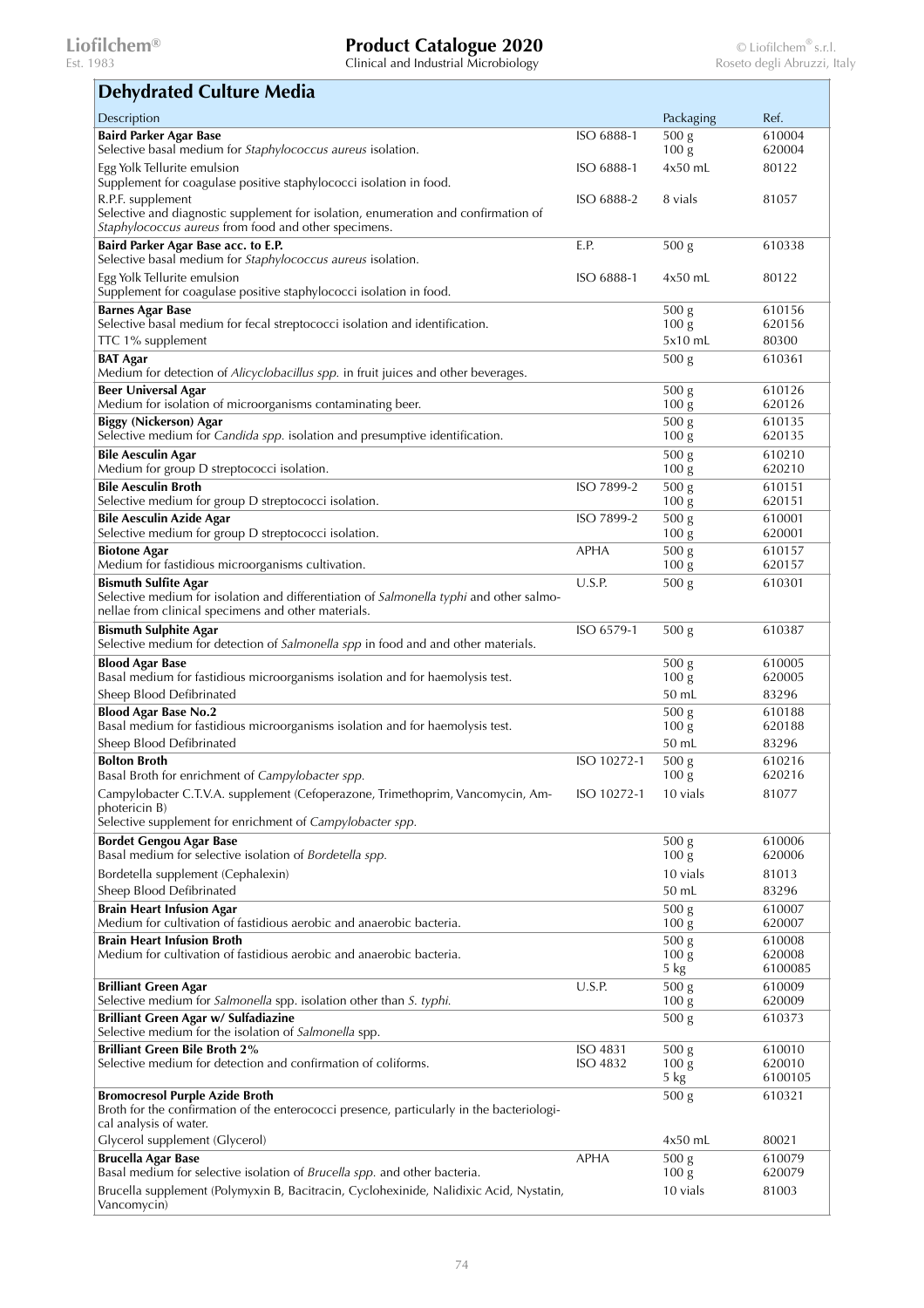| <b>Dehydrated Culture Media</b>                                                                                                                                                      |                             |                                        |                             |
|--------------------------------------------------------------------------------------------------------------------------------------------------------------------------------------|-----------------------------|----------------------------------------|-----------------------------|
| Description                                                                                                                                                                          |                             | Packaging                              | Ref.                        |
| <b>Baird Parker Agar Base</b><br>Selective basal medium for Staphylococcus aureus isolation.                                                                                         | ISO 6888-1                  | 500 <sub>g</sub><br>100 <sub>g</sub>   | 610004<br>620004            |
| Egg Yolk Tellurite emulsion<br>Supplement for coagulase positive staphylococci isolation in food.                                                                                    | ISO 6888-1                  | $4x50$ mL                              | 80122                       |
| R.P.F. supplement<br>Selective and diagnostic supplement for isolation, enumeration and confirmation of<br>Staphylococcus aureus from food and other specimens.                      | ISO 6888-2                  | 8 vials                                | 81057                       |
| Baird Parker Agar Base acc. to E.P.<br>Selective basal medium for Staphylococcus aureus isolation.                                                                                   | E.P.                        | 500 <sub>g</sub>                       | 610338                      |
| Egg Yolk Tellurite emulsion<br>Supplement for coagulase positive staphylococci isolation in food.                                                                                    | ISO 6888-1                  | $4x50$ mL                              | 80122                       |
| <b>Barnes Agar Base</b><br>Selective basal medium for fecal streptococci isolation and identification.                                                                               |                             | 500 g<br>100 <sub>g</sub>              | 610156<br>620156            |
| TTC 1% supplement                                                                                                                                                                    |                             | 5x10 mL                                | 80300                       |
| <b>BAT Agar</b><br>Medium for detection of Alicyclobacillus spp. in fruit juices and other beverages.                                                                                |                             | 500 <sub>g</sub>                       | 610361                      |
| <b>Beer Universal Agar</b><br>Medium for isolation of microorganisms contaminating beer.                                                                                             |                             | 500 <sub>g</sub><br>100 <sub>g</sub>   | 610126<br>620126            |
| <b>Biggy (Nickerson) Agar</b><br>Selective medium for Candida spp. isolation and presumptive identification.                                                                         |                             | 500 <sub>g</sub><br>100 <sub>g</sub>   | 610135<br>620135            |
| <b>Bile Aesculin Agar</b><br>Medium for group D streptococci isolation.                                                                                                              |                             | 500 g<br>100 <sub>g</sub>              | 610210<br>620210            |
| <b>Bile Aesculin Broth</b><br>Selective medium for group D streptococci isolation.                                                                                                   | ISO 7899-2                  | 500 <sub>g</sub><br>100 <sub>g</sub>   | 610151<br>620151            |
| <b>Bile Aesculin Azide Agar</b><br>Selective medium for group D streptococci isolation.                                                                                              | ISO 7899-2                  | 500 <sub>g</sub><br>100 <sub>g</sub>   | 610001<br>620001            |
| <b>Biotone Agar</b><br>Medium for fastidious microorganisms cultivation.                                                                                                             | APHA                        | 500 g<br>100 <sub>g</sub>              | 610157<br>620157            |
| <b>Bismuth Sulfite Agar</b><br>Selective medium for isolation and differentiation of <i>Salmonella typhi</i> and other salmo-<br>nellae from clinical specimens and other materials. | U.S.P.                      | 500 g                                  | 610301                      |
| <b>Bismuth Sulphite Agar</b><br>Selective medium for detection of Salmonella spp in food and and other materials.                                                                    | ISO 6579-1                  | 500 g                                  | 610387                      |
| <b>Blood Agar Base</b>                                                                                                                                                               |                             | 500 g                                  | 610005                      |
| Basal medium for fastidious microorganisms isolation and for haemolysis test.<br>Sheep Blood Defibrinated                                                                            |                             | 100 <sub>g</sub><br>50 mL              | 620005<br>83296             |
| <b>Blood Agar Base No.2</b><br>Basal medium for fastidious microorganisms isolation and for haemolysis test.                                                                         |                             | 500 <sub>g</sub><br>100 <sub>g</sub>   | 610188<br>620188            |
| Sheep Blood Defibrinated                                                                                                                                                             |                             | 50 mL                                  | 83296                       |
| <b>Bolton Broth</b><br>Basal Broth for enrichment of Campylobacter spp.                                                                                                              | ISO 10272-1                 | 500 <sub>g</sub><br>100 <sub>g</sub>   | 610216<br>620216            |
| Campylobacter C.T.V.A. supplement (Cefoperazone, Trimethoprim, Vancomycin, Am-<br>photericin B)                                                                                      | ISO 10272-1                 | 10 vials                               | 81077                       |
| Selective supplement for enrichment of Campylobacter spp.                                                                                                                            |                             |                                        |                             |
| <b>Bordet Gengou Agar Base</b><br>Basal medium for selective isolation of Bordetella spp.                                                                                            |                             | 500 <sub>g</sub><br>100 <sub>g</sub>   | 610006<br>620006            |
| Bordetella supplement (Cephalexin)                                                                                                                                                   |                             | 10 vials                               | 81013                       |
| Sheep Blood Defibrinated<br><b>Brain Heart Infusion Agar</b>                                                                                                                         |                             | 50 mL<br>500 g                         | 83296<br>610007             |
| Medium for cultivation of fastidious aerobic and anaerobic bacteria.                                                                                                                 |                             | 100 <sub>g</sub>                       | 620007                      |
| <b>Brain Heart Infusion Broth</b><br>Medium for cultivation of fastidious aerobic and anaerobic bacteria.                                                                            |                             | 500 g<br>100 <sub>g</sub><br>5 kg      | 610008<br>620008<br>6100085 |
| <b>Brilliant Green Agar</b><br>Selective medium for Salmonella spp. isolation other than S. typhi.                                                                                   | U.S.P.                      | $\overline{500}$ g<br>100 <sub>g</sub> | 610009<br>620009            |
| Brilliant Green Agar w/ Sulfadiazine<br>Selective medium for the isolation of Salmonella spp.                                                                                        |                             | 500 <sub>g</sub>                       | 610373                      |
| <b>Brilliant Green Bile Broth 2%</b><br>Selective medium for detection and confirmation of coliforms.                                                                                | <b>ISO 4831</b><br>ISO 4832 | 500 <sub>g</sub><br>100 <sub>g</sub>   | 610010<br>620010            |
| <b>Bromocresol Purple Azide Broth</b>                                                                                                                                                |                             | 5 kg<br>500 <sub>g</sub>               | 6100105<br>610321           |
| Broth for the confirmation of the enterococci presence, particularly in the bacteriologi-<br>cal analysis of water.                                                                  |                             |                                        |                             |
| Glycerol supplement (Glycerol)                                                                                                                                                       |                             | $4x50$ mL                              | 80021                       |
| <b>Brucella Agar Base</b><br>Basal medium for selective isolation of Brucella spp. and other bacteria.                                                                               | APHA                        | 500 g<br>100 <sub>g</sub>              | 610079<br>620079            |
| Brucella supplement (Polymyxin B, Bacitracin, Cyclohexinide, Nalidixic Acid, Nystatin,<br>Vancomycin)                                                                                |                             | 10 vials                               | 81003                       |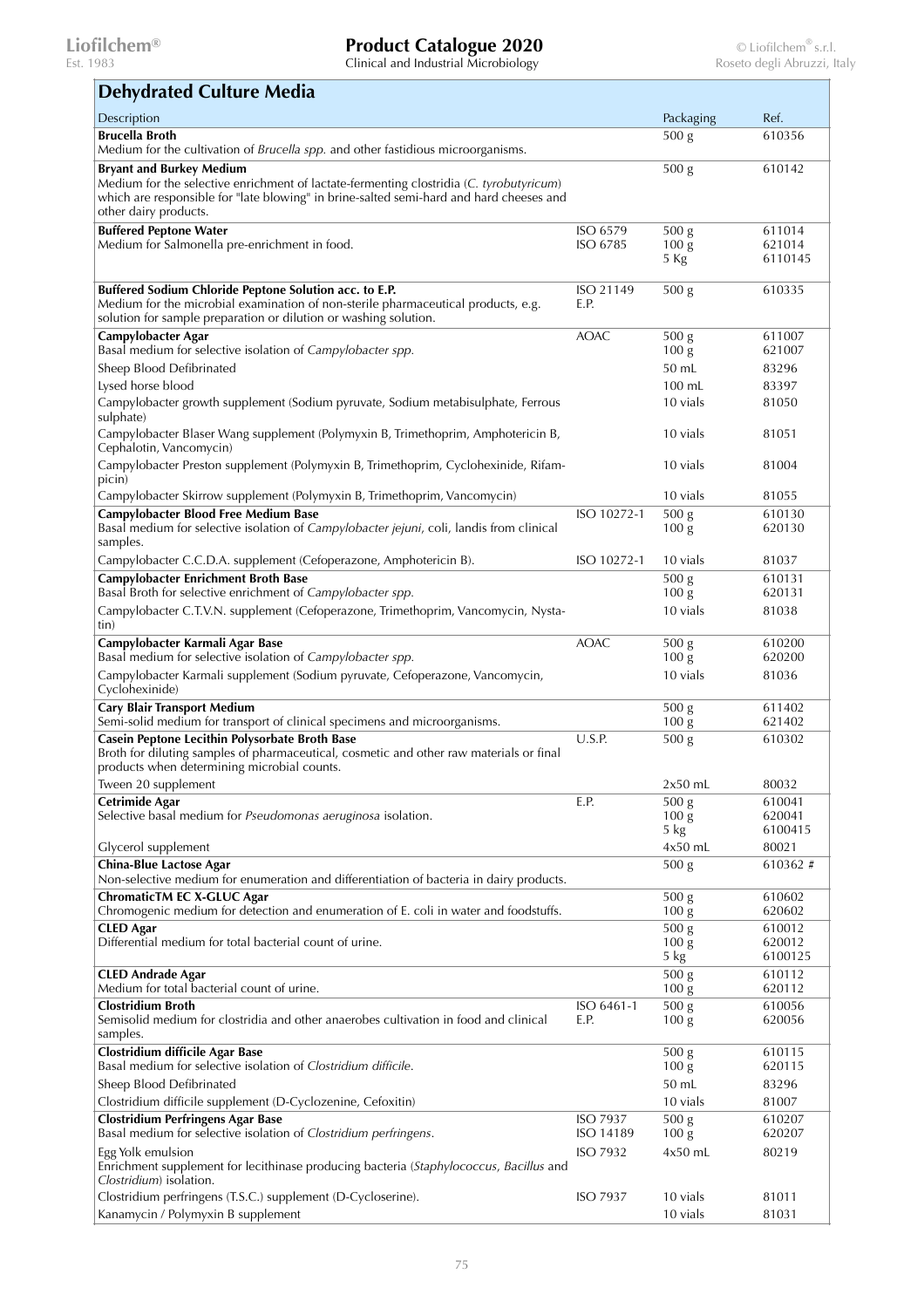| <b>Dehydrated Culture Media</b> |  |  |  |
|---------------------------------|--|--|--|
|---------------------------------|--|--|--|

| Description                                                                                                       |                      | Packaging                            | Ref.              |
|-------------------------------------------------------------------------------------------------------------------|----------------------|--------------------------------------|-------------------|
| <b>Brucella Broth</b>                                                                                             |                      | 500 <sub>g</sub>                     | 610356            |
| Medium for the cultivation of Brucella spp. and other fastidious microorganisms.                                  |                      |                                      |                   |
| <b>Bryant and Burkey Medium</b>                                                                                   |                      | 500 <sub>g</sub>                     | 610142            |
| Medium for the selective enrichment of lactate-fermenting clostridia (C. tyrobutyricum)                           |                      |                                      |                   |
| which are responsible for "late blowing" in brine-salted semi-hard and hard cheeses and<br>other dairy products.  |                      |                                      |                   |
|                                                                                                                   |                      |                                      |                   |
| <b>Buffered Peptone Water</b><br>Medium for Salmonella pre-enrichment in food.                                    | ISO 6579<br>ISO 6785 | 500 <sub>g</sub><br>100 <sub>g</sub> | 611014<br>621014  |
|                                                                                                                   |                      | 5 Kg                                 | 6110145           |
|                                                                                                                   |                      |                                      |                   |
| Buffered Sodium Chloride Peptone Solution acc. to E.P.                                                            | ISO 21149            | 500 <sub>g</sub>                     | 610335            |
| Medium for the microbial examination of non-sterile pharmaceutical products, e.g.                                 | E.P.                 |                                      |                   |
| solution for sample preparation or dilution or washing solution.                                                  |                      |                                      |                   |
| Campylobacter Agar                                                                                                | <b>AOAC</b>          | 500 <sub>g</sub>                     | 611007            |
| Basal medium for selective isolation of Campylobacter spp.                                                        |                      | 100 <sub>g</sub>                     | 621007            |
| Sheep Blood Defibrinated                                                                                          |                      | 50 mL                                | 83296             |
| Lysed horse blood                                                                                                 |                      | 100 mL                               | 83397             |
| Campylobacter growth supplement (Sodium pyruvate, Sodium metabisulphate, Ferrous<br>sulphate)                     |                      | 10 vials                             | 81050             |
| Campylobacter Blaser Wang supplement (Polymyxin B, Trimethoprim, Amphotericin B,                                  |                      | 10 vials                             | 81051             |
| Cephalotin, Vancomycin)                                                                                           |                      |                                      |                   |
| Campylobacter Preston supplement (Polymyxin B, Trimethoprim, Cyclohexinide, Rifam-                                |                      | 10 vials                             | 81004             |
| picin)                                                                                                            |                      |                                      |                   |
| Campylobacter Skirrow supplement (Polymyxin B, Trimethoprim, Vancomycin)                                          |                      | 10 vials                             | 81055             |
| <b>Campylobacter Blood Free Medium Base</b>                                                                       | ISO 10272-1          | 500 <sub>g</sub>                     | 610130            |
| Basal medium for selective isolation of Campylobacter jejuni, coli, landis from clinical                          |                      | 100 <sub>g</sub>                     | 620130            |
| samples.                                                                                                          |                      |                                      |                   |
| Campylobacter C.C.D.A. supplement (Cefoperazone, Amphotericin B).                                                 | ISO 10272-1          | 10 vials                             | 81037             |
| <b>Campylobacter Enrichment Broth Base</b>                                                                        |                      | 500 <sub>g</sub>                     | 610131            |
| Basal Broth for selective enrichment of Campylobacter spp.                                                        |                      | 100 <sub>g</sub>                     | 620131            |
| Campylobacter C.T.V.N. supplement (Cefoperazone, Trimethoprim, Vancomycin, Nysta-                                 |                      | 10 vials                             | 81038             |
| tin)                                                                                                              | <b>AOAC</b>          |                                      | 610200            |
| Campylobacter Karmali Agar Base<br>Basal medium for selective isolation of Campylobacter spp.                     |                      | 500 <sub>g</sub><br>100 <sub>g</sub> | 620200            |
| Campylobacter Karmali supplement (Sodium pyruvate, Cefoperazone, Vancomycin,                                      |                      | 10 vials                             | 81036             |
| Cyclohexinide)                                                                                                    |                      |                                      |                   |
| <b>Cary Blair Transport Medium</b>                                                                                |                      | 500 g                                | 611402            |
| Semi-solid medium for transport of clinical specimens and microorganisms.                                         |                      | 100 <sub>g</sub>                     | 621402            |
| Casein Peptone Lecithin Polysorbate Broth Base                                                                    | U.S.P.               | 500 <sub>g</sub>                     | 610302            |
| Broth for diluting samples of pharmaceutical, cosmetic and other raw materials or final                           |                      |                                      |                   |
| products when determining microbial counts.                                                                       |                      |                                      |                   |
| Tween 20 supplement                                                                                               |                      | $2x50$ mL                            | 80032             |
| <b>Cetrimide Agar</b><br>Selective basal medium for <i>Pseudomonas aeruginosa</i> isolation.                      | E.P.                 | 500 <sub>g</sub><br>100 <sub>g</sub> | 610041<br>620041  |
|                                                                                                                   |                      | 5 kg                                 | 6100415           |
| Glycerol supplement                                                                                               |                      | $4x50$ mL                            | 80021             |
| <b>China-Blue Lactose Agar</b>                                                                                    |                      | 500 g                                | 610362 #          |
| Non-selective medium for enumeration and differentiation of bacteria in dairy products.                           |                      |                                      |                   |
| <b>ChromaticTM EC X-GLUC Agar</b>                                                                                 |                      | 500 <sub>g</sub>                     | 610602            |
| Chromogenic medium for detection and enumeration of E. coli in water and foodstuffs.                              |                      | 100 <sub>g</sub>                     | 620602            |
| <b>CLED</b> Agar                                                                                                  |                      | 500 <sub>g</sub>                     | 610012            |
| Differential medium for total bacterial count of urine.                                                           |                      | 100 <sub>g</sub>                     | 620012<br>6100125 |
| <b>CLED Andrade Agar</b>                                                                                          |                      | 5 kg<br>500 <sub>g</sub>             | 610112            |
| Medium for total bacterial count of urine.                                                                        |                      | $100\,\mathrm{g}$                    | 620112            |
| <b>Clostridium Broth</b>                                                                                          | ISO 6461-1           | 500 <sub>g</sub>                     | 610056            |
| Semisolid medium for clostridia and other anaerobes cultivation in food and clinical                              | E.P.                 | 100 <sub>g</sub>                     | 620056            |
| samples.                                                                                                          |                      |                                      |                   |
| Clostridium difficile Agar Base                                                                                   |                      | 500 <sub>g</sub>                     | 610115            |
| Basal medium for selective isolation of Clostridium difficile.                                                    |                      | 100 <sub>g</sub>                     | 620115            |
| Sheep Blood Defibrinated                                                                                          |                      | 50 mL                                | 83296             |
| Clostridium difficile supplement (D-Cyclozenine, Cefoxitin)                                                       |                      | 10 vials                             | 81007             |
| <b>Clostridium Perfringens Agar Base</b>                                                                          | ISO 7937             | 500 <sub>g</sub>                     | 610207            |
| Basal medium for selective isolation of Clostridium perfringens.                                                  | ISO 14189            | 100 <sub>g</sub>                     | 620207            |
| Egg Yolk emulsion                                                                                                 | ISO 7932             | $4x50$ mL                            | 80219             |
| Enrichment supplement for lecithinase producing bacteria (Staphylococcus, Bacillus and<br>Clostridium) isolation. |                      |                                      |                   |
| Clostridium perfringens (T.S.C.) supplement (D-Cycloserine).                                                      | <b>ISO 7937</b>      | 10 vials                             | 81011             |
| Kanamycin / Polymyxin B supplement                                                                                |                      | 10 vials                             | 81031             |
|                                                                                                                   |                      |                                      |                   |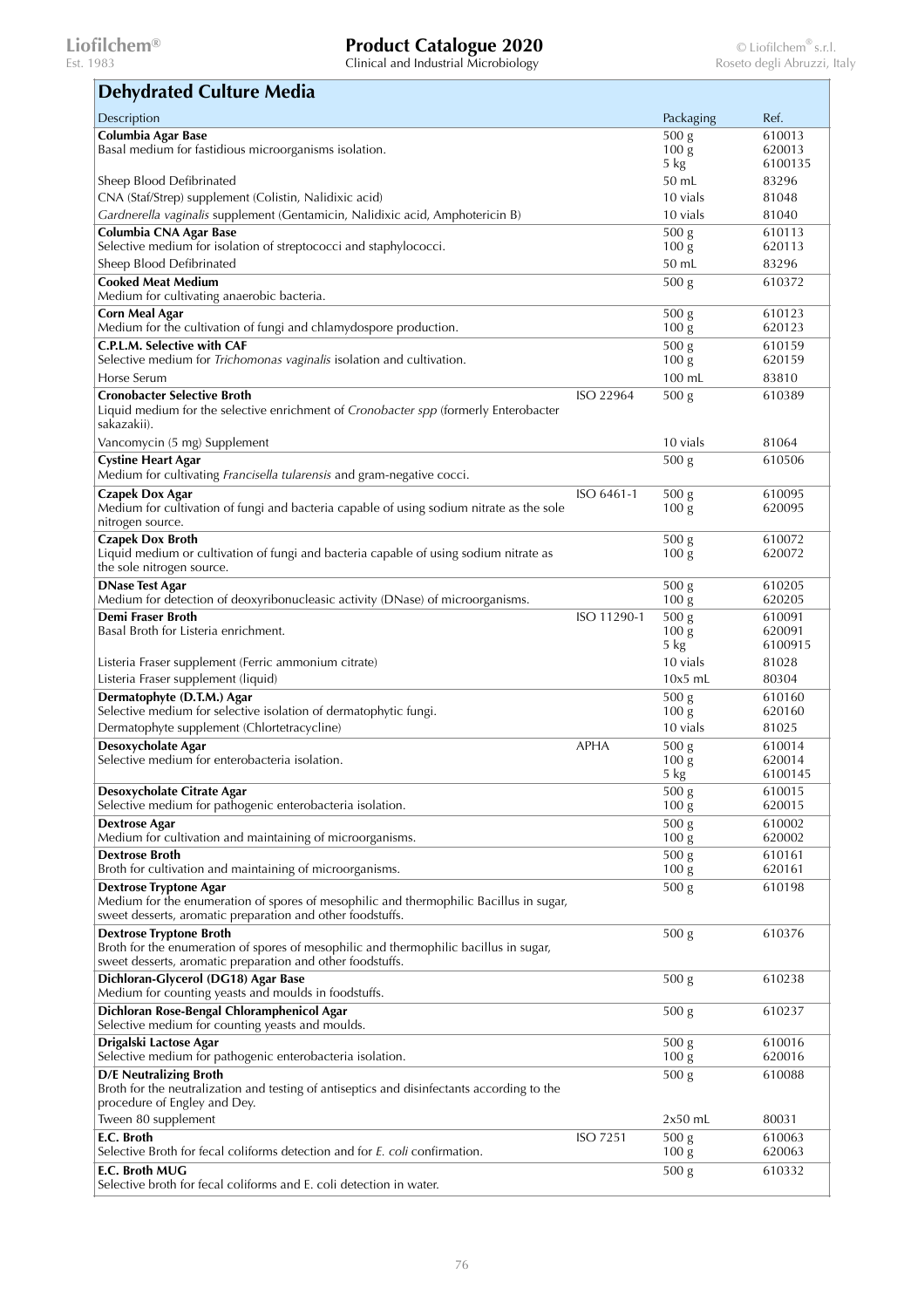| <b>Dehydrated Culture Media</b>                                                                                             |                 |                           |                   |
|-----------------------------------------------------------------------------------------------------------------------------|-----------------|---------------------------|-------------------|
| Description                                                                                                                 |                 | Packaging                 | Ref.              |
| Columbia Agar Base                                                                                                          |                 | 500 <sub>g</sub>          | 610013            |
| Basal medium for fastidious microorganisms isolation.                                                                       |                 | 100 <sub>g</sub>          | 620013            |
|                                                                                                                             |                 | 5 kg                      | 6100135           |
| Sheep Blood Defibrinated                                                                                                    |                 | 50 mL                     | 83296             |
| CNA (Staf/Strep) supplement (Colistin, Nalidixic acid)                                                                      |                 | 10 vials<br>10 vials      | 81048<br>81040    |
| Gardnerella vaginalis supplement (Gentamicin, Nalidixic acid, Amphotericin B)                                               |                 |                           |                   |
| Columbia CNA Agar Base<br>Selective medium for isolation of streptococci and staphylococci.                                 |                 | 500 g<br>100 <sub>g</sub> | 610113<br>620113  |
| Sheep Blood Defibrinated                                                                                                    |                 | 50 mL                     | 83296             |
| <b>Cooked Meat Medium</b>                                                                                                   |                 | 500 g                     | 610372            |
| Medium for cultivating anaerobic bacteria.                                                                                  |                 |                           |                   |
| <b>Corn Meal Agar</b><br>Medium for the cultivation of fungi and chlamydospore production.                                  |                 | 500 g<br>100 <sub>g</sub> | 610123<br>620123  |
| C.P.L.M. Selective with CAF                                                                                                 |                 | 500 g                     | 610159            |
| Selective medium for <i>Trichomonas vaginalis</i> isolation and cultivation.                                                |                 | 100 <sub>g</sub>          | 620159            |
| Horse Serum                                                                                                                 |                 | 100 mL                    | 83810             |
| <b>Cronobacter Selective Broth</b>                                                                                          | ISO 22964       | 500 <sub>g</sub>          | 610389            |
| Liquid medium for the selective enrichment of Cronobacter spp (formerly Enterobacter<br>sakazakii).                         |                 |                           |                   |
| Vancomycin (5 mg) Supplement                                                                                                |                 | 10 vials                  | 81064             |
| <b>Cystine Heart Agar</b>                                                                                                   |                 | 500 <sub>g</sub>          | 610506            |
| Medium for cultivating Francisella tularensis and gram-negative cocci.                                                      |                 |                           |                   |
| <b>Czapek Dox Agar</b>                                                                                                      | ISO 6461-1      | 500 g                     | 610095            |
| Medium for cultivation of fungi and bacteria capable of using sodium nitrate as the sole<br>nitrogen source.                |                 | 100 <sub>g</sub>          | 620095            |
| <b>Czapek Dox Broth</b>                                                                                                     |                 | 500 <sub>g</sub>          | 610072            |
| Liquid medium or cultivation of fungi and bacteria capable of using sodium nitrate as                                       |                 | 100 <sub>g</sub>          | 620072            |
| the sole nitrogen source.                                                                                                   |                 |                           |                   |
| <b>DNase Test Agar</b>                                                                                                      |                 | 500 g                     | 610205            |
| Medium for detection of deoxyribonucleasic activity (DNase) of microorganisms.                                              |                 | 100 <sub>g</sub>          | 620205            |
| Demi Fraser Broth                                                                                                           | ISO 11290-1     | 500 g                     | 610091            |
| Basal Broth for Listeria enrichment.                                                                                        |                 | 100 <sub>g</sub><br>5 kg  | 620091<br>6100915 |
| Listeria Fraser supplement (Ferric ammonium citrate)                                                                        |                 | 10 vials                  | 81028             |
| Listeria Fraser supplement (liquid)                                                                                         |                 | $10x5$ mL                 | 80304             |
| Dermatophyte (D.T.M.) Agar                                                                                                  |                 | 500 g                     | 610160            |
| Selective medium for selective isolation of dermatophytic fungi.                                                            |                 | 100 <sub>g</sub>          | 620160            |
| Dermatophyte supplement (Chlortetracycline)                                                                                 |                 | 10 vials                  | 81025             |
| Desoxycholate Agar                                                                                                          | <b>APHA</b>     | 500 <sub>g</sub>          | 610014            |
| Selective medium for enterobacteria isolation.                                                                              |                 | 100 <sub>g</sub>          | 620014            |
|                                                                                                                             |                 | 5 kg                      | 6100145           |
| Desoxycholate Citrate Agar                                                                                                  |                 | 500 g                     | 610015            |
| Selective medium for pathogenic enterobacteria isolation.                                                                   |                 | 100 <sub>g</sub>          | 620015            |
| Dextrose Agar<br>Medium for cultivation and maintaining of microorganisms.                                                  |                 | 500 g<br>100 <sub>g</sub> | 610002<br>620002  |
| <b>Dextrose Broth</b>                                                                                                       |                 | $\overline{500}$ g        | 610161            |
| Broth for cultivation and maintaining of microorganisms.                                                                    |                 | 100 <sub>g</sub>          | 620161            |
| <b>Dextrose Tryptone Agar</b>                                                                                               |                 | 500 <sub>g</sub>          | 610198            |
| Medium for the enumeration of spores of mesophilic and thermophilic Bacillus in sugar,                                      |                 |                           |                   |
| sweet desserts, aromatic preparation and other foodstuffs.                                                                  |                 |                           |                   |
| <b>Dextrose Tryptone Broth</b><br>Broth for the enumeration of spores of mesophilic and thermophilic bacillus in sugar,     |                 | 500 <sub>g</sub>          | 610376            |
| sweet desserts, aromatic preparation and other foodstuffs.                                                                  |                 |                           |                   |
| Dichloran-Glycerol (DG18) Agar Base                                                                                         |                 | 500 <sub>g</sub>          | 610238            |
| Medium for counting yeasts and moulds in foodstuffs.                                                                        |                 |                           |                   |
| Dichloran Rose-Bengal Chloramphenicol Agar                                                                                  |                 | 500 <sub>g</sub>          | 610237            |
| Selective medium for counting yeasts and moulds.                                                                            |                 |                           |                   |
| Drigalski Lactose Agar                                                                                                      |                 | 500 <sub>g</sub>          | 610016            |
| Selective medium for pathogenic enterobacteria isolation.                                                                   |                 | 100 <sub>g</sub>          | 620016            |
| <b>D/E Neutralizing Broth</b><br>Broth for the neutralization and testing of antiseptics and disinfectants according to the |                 | 500 <sub>g</sub>          | 610088            |
| procedure of Engley and Dey.                                                                                                |                 |                           |                   |
| Tween 80 supplement                                                                                                         |                 | $2x50$ mL                 | 80031             |
| E.C. Broth                                                                                                                  | <b>ISO 7251</b> | 500 <sub>g</sub>          | 610063            |
| Selective Broth for fecal coliforms detection and for E. coli confirmation.                                                 |                 | 100 <sub>g</sub>          | 620063            |
| E.C. Broth MUG                                                                                                              |                 | 500 g                     | 610332            |
| Selective broth for fecal coliforms and E. coli detection in water.                                                         |                 |                           |                   |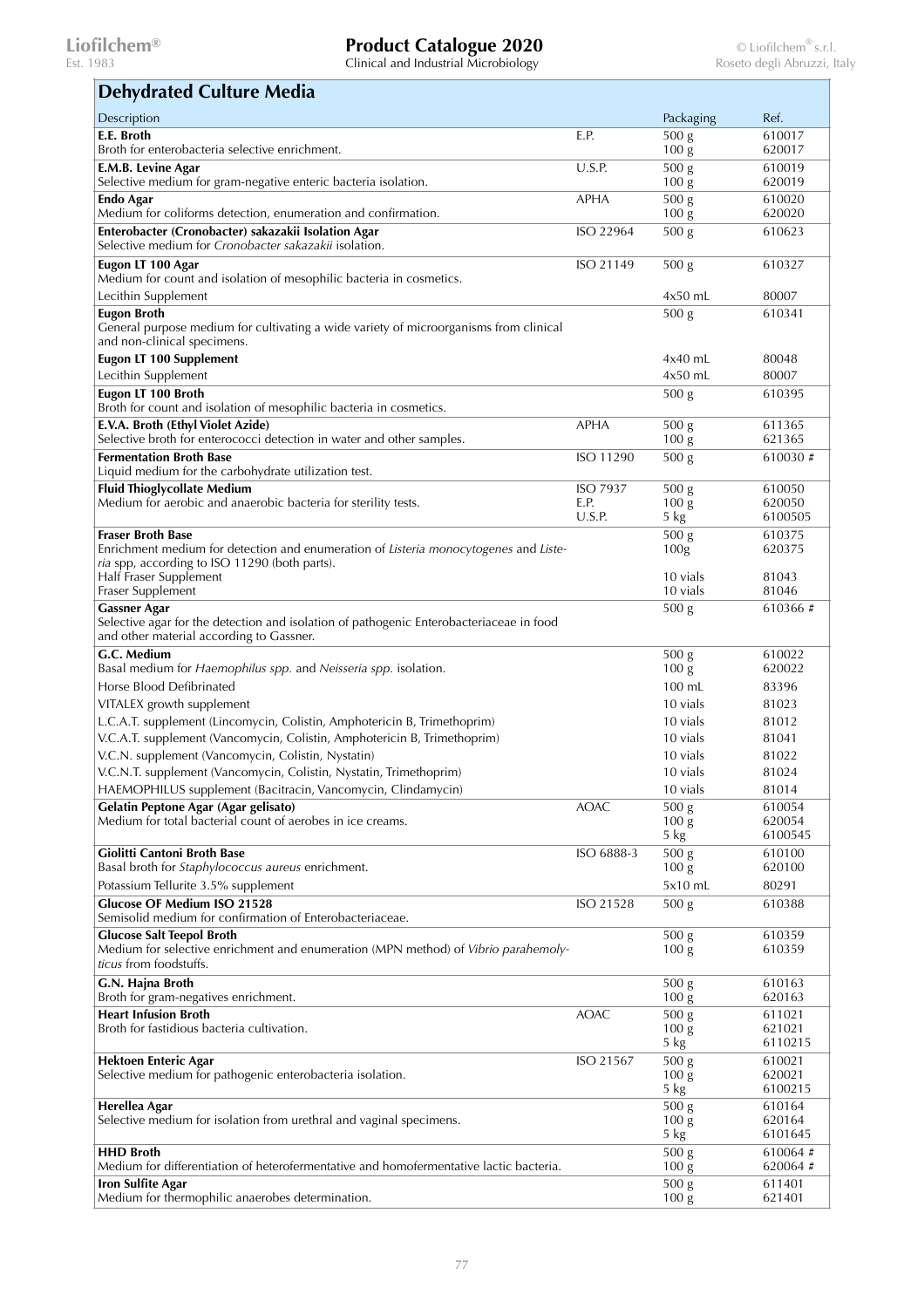| <b>Dehydrated Culture Media</b>                                                                                                                            |                         |                                      |                   |
|------------------------------------------------------------------------------------------------------------------------------------------------------------|-------------------------|--------------------------------------|-------------------|
| Description                                                                                                                                                |                         | Packaging                            | Ref.              |
| E.E. Broth<br>Broth for enterobacteria selective enrichment.                                                                                               | E.P.                    | 500 <sub>g</sub><br>100 <sub>g</sub> | 610017<br>620017  |
| E.M.B. Levine Agar                                                                                                                                         | U.S.P.                  | 500 <sub>g</sub>                     | 610019            |
| Selective medium for gram-negative enteric bacteria isolation.                                                                                             |                         | 100 <sub>g</sub>                     | 620019            |
| Endo Agar<br>Medium for coliforms detection, enumeration and confirmation.                                                                                 | <b>APHA</b>             | 500 <sub>g</sub><br>100 <sub>g</sub> | 610020<br>620020  |
| Enterobacter (Cronobacter) sakazakii Isolation Agar<br>Selective medium for Cronobacter sakazakii isolation.                                               | ISO 22964               | 500 g                                | 610623            |
| Eugon LT 100 Agar                                                                                                                                          | ISO 21149               | 500 <sub>g</sub>                     | 610327            |
| Medium for count and isolation of mesophilic bacteria in cosmetics.<br>Lecithin Supplement                                                                 |                         | $4x50$ mL                            | 80007             |
| <b>Eugon Broth</b>                                                                                                                                         |                         | 500 <sub>g</sub>                     | 610341            |
| General purpose medium for cultivating a wide variety of microorganisms from clinical<br>and non-clinical specimens.                                       |                         |                                      |                   |
| <b>Eugon LT 100 Supplement</b>                                                                                                                             |                         | $4x40$ mL                            | 80048             |
| Lecithin Supplement                                                                                                                                        |                         | $4x50$ mL                            | 80007             |
| Eugon LT 100 Broth                                                                                                                                         |                         | 500 <sub>g</sub>                     | 610395            |
| Broth for count and isolation of mesophilic bacteria in cosmetics.                                                                                         |                         |                                      |                   |
| E.V.A. Broth (Ethyl Violet Azide)<br>Selective broth for enterococci detection in water and other samples.                                                 | <b>APHA</b>             | 500 g<br>100 <sub>g</sub>            | 611365<br>621365  |
| <b>Fermentation Broth Base</b>                                                                                                                             | ISO 11290               | 500 <sub>g</sub>                     | 610030#           |
| Liquid medium for the carbohydrate utilization test.                                                                                                       |                         |                                      |                   |
| <b>Fluid Thioglycollate Medium</b><br>Medium for aerobic and anaerobic bacteria for sterility tests.                                                       | <b>ISO 7937</b><br>E.P. | 500 <sub>g</sub><br>100 <sub>g</sub> | 610050<br>620050  |
|                                                                                                                                                            | U.S.P.                  | 5 kg                                 | 6100505           |
| <b>Fraser Broth Base</b>                                                                                                                                   |                         | 500 g                                | 610375            |
| Enrichment medium for detection and enumeration of Listeria monocytogenes and Liste-<br>ria spp, according to ISO 11290 (both parts).                      |                         | 100 <sub>g</sub>                     | 620375            |
| Half Fraser Supplement                                                                                                                                     |                         | 10 vials                             | 81043             |
| Fraser Supplement                                                                                                                                          |                         | 10 vials                             | 81046             |
| <b>Gassner Agar</b><br>Selective agar for the detection and isolation of pathogenic Enterobacteriaceae in food<br>and other material according to Gassner. |                         | 500 g                                | 610366#           |
| G.C. Medium                                                                                                                                                |                         | 500 <sub>g</sub>                     | 610022            |
| Basal medium for Haemophilus spp. and Neisseria spp. isolation.                                                                                            |                         | 100 <sub>g</sub>                     | 620022            |
| Horse Blood Defibrinated<br>VITALEX growth supplement                                                                                                      |                         | 100 mL<br>10 vials                   | 83396<br>81023    |
| L.C.A.T. supplement (Lincomycin, Colistin, Amphotericin B, Trimethoprim)                                                                                   |                         | 10 vials                             | 81012             |
| V.C.A.T. supplement (Vancomycin, Colistin, Amphotericin B, Trimethoprim)                                                                                   |                         | 10 vials                             | 81041             |
| V.C.N. supplement (Vancomycin, Colistin, Nystatin)                                                                                                         |                         | 10 vials                             | 81022             |
| V.C.N.T. supplement (Vancomycin, Colistin, Nystatin, Trimethoprim)                                                                                         |                         | 10 vials                             | 81024             |
| HAEMOPHILUS supplement (Bacitracin, Vancomycin, Clindamycin)                                                                                               |                         | 10 vials                             | 81014             |
| Gelatin Peptone Agar (Agar gelisato)<br>Medium for total bacterial count of aerobes in ice creams.                                                         | <b>AOAC</b>             | 500 g<br>$100\,\mathrm{g}$           | 610054<br>620054  |
|                                                                                                                                                            |                         | 5 kg                                 | 6100545           |
| Giolitti Cantoni Broth Base                                                                                                                                | ISO 6888-3              | 500 g                                | 610100            |
| Basal broth for Staphylococcus aureus enrichment.                                                                                                          |                         | 100 <sub>g</sub>                     | 620100            |
| Potassium Tellurite 3.5% supplement<br><b>Glucose OF Medium ISO 21528</b>                                                                                  | ISO 21528               | 5x10 mL<br>500 <sub>g</sub>          | 80291<br>610388   |
| Semisolid medium for confirmation of Enterobacteriaceae.                                                                                                   |                         |                                      |                   |
| <b>Glucose Salt Teepol Broth</b>                                                                                                                           |                         | 500 <sub>g</sub>                     | 610359            |
| Medium for selective enrichment and enumeration (MPN method) of <i>Vibrio parahemoly-</i><br>ticus from foodstuffs.                                        |                         | 100 <sub>g</sub>                     | 610359            |
| G.N. Hajna Broth<br>Broth for gram-negatives enrichment.                                                                                                   |                         | 500 <sub>g</sub><br>100 <sub>g</sub> | 610163<br>620163  |
| <b>Heart Infusion Broth</b>                                                                                                                                | <b>AOAC</b>             | 500 <sub>g</sub>                     | 611021            |
| Broth for fastidious bacteria cultivation.                                                                                                                 |                         | 100 <sub>g</sub>                     | 621021            |
| <b>Hektoen Enteric Agar</b>                                                                                                                                | ISO 21567               | 5 kg<br>500 <sub>g</sub>             | 6110215<br>610021 |
| Selective medium for pathogenic enterobacteria isolation.                                                                                                  |                         | 100 <sub>g</sub>                     | 620021            |
|                                                                                                                                                            |                         | 5 kg                                 | 6100215           |
| Herellea Agar                                                                                                                                              |                         | 500 <sub>g</sub>                     | 610164            |
| Selective medium for isolation from urethral and vaginal specimens.                                                                                        |                         | 100 <sub>g</sub><br>5 kg             | 620164<br>6101645 |
| <b>HHD Broth</b>                                                                                                                                           |                         | 500 <sub>g</sub>                     | 610064#           |
| Medium for differentiation of heterofermentative and homofermentative lactic bacteria.                                                                     |                         | 100 <sub>g</sub>                     | 620064#           |
| <b>Iron Sulfite Agar</b><br>Medium for thermophilic anaerobes determination.                                                                               |                         | 500 <sub>g</sub><br>100 <sub>g</sub> | 611401<br>621401  |
|                                                                                                                                                            |                         |                                      |                   |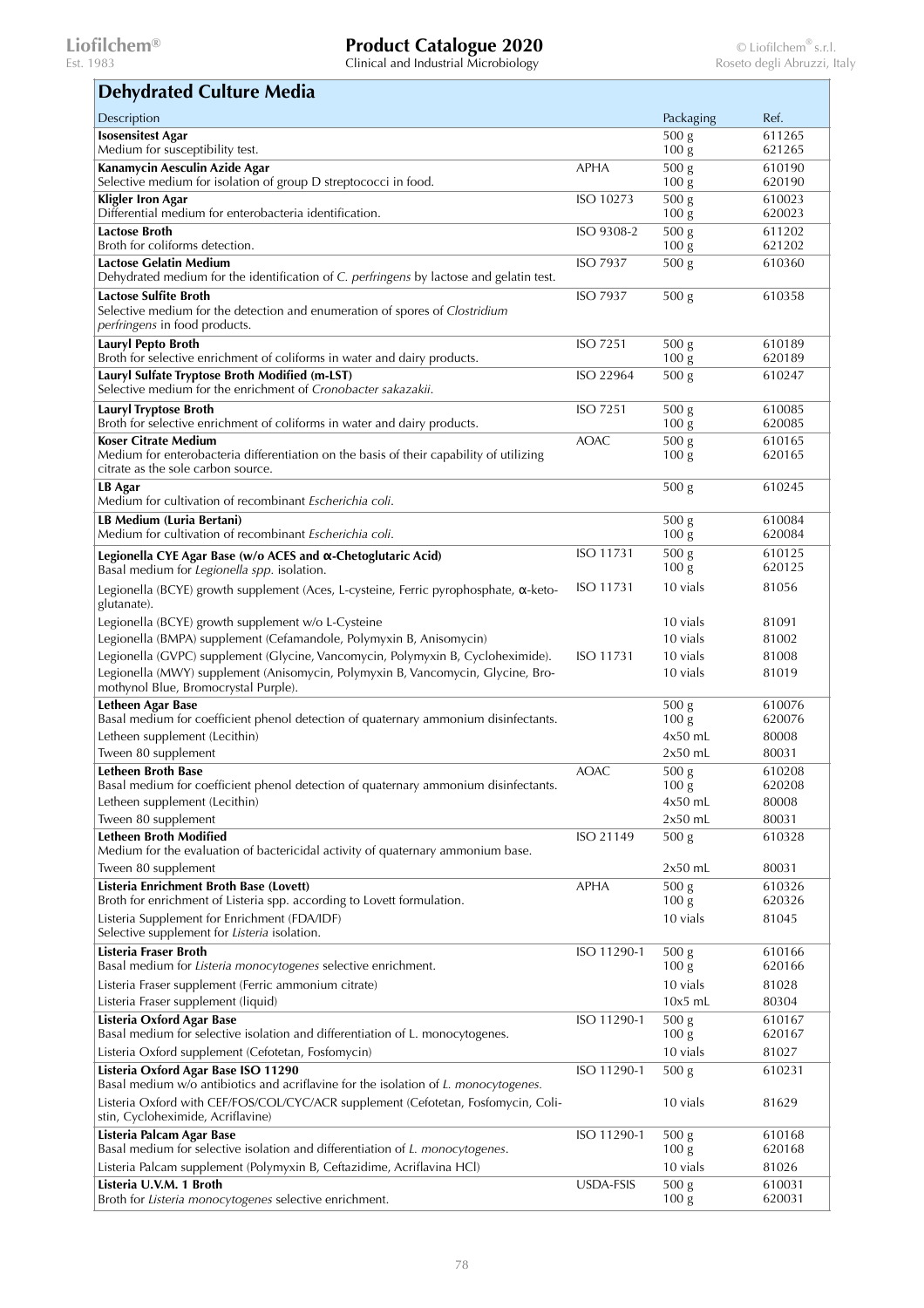Clinical and Industrial Microbiology

### **Isosensitest Agar**  Medium for susceptibility test. 500 g 100 g 611265 621265 **Kanamycin Aesculin Azide Agar**  Selective medium for isolation of group D streptococci in food.  $APHA$  500 g  $100 \mathrm{g}$ 610190 620190 **Kligler Iron Agar**  Differential medium for enterobacteria identification. ISO 10273 500 g  $100 \mathrm{g}$ 610023 620023 **Lactose Broth**  Broth for coliforms detection.  $\overline{ISO\ 9308-2}$  500 g 100 g 611202 621202 **Lactose Gelatin Medium**  Dehydrated medium for the identification of *C. perfringens* by lactose and gelatin test. ISO 7937 500 g 610360 **Lactose Sulfite Broth**  Selective medium for the detection and enumeration of spores of *Clostridium perfringens* in food products.  $\frac{1}{500 \text{ g}}$  610358 **Lauryl Pepto Broth**  Broth for selective enrichment of coliforms in water and dairy products. ISO 7251 500 g 100 g 610189 620189 **Lauryl Sulfate Tryptose Broth Modified (m-LST)**  Selective medium for the enrichment of *Cronobacter sakazakii*.  $ISO 22964 500 g 610247$ **Lauryl Tryptose Broth**  Broth for selective enrichment of coliforms in water and dairy products.  $\sqrt{1507251}$  500 g  $100 \mathrm{g}$ 610085 620085 **Koser Citrate Medium**  Medium for enterobacteria differentiation on the basis of their capability of utilizing citrate as the sole carbon source.  $AOAC$  500 g 100 g 610165 620165 **LB Agar**  Medium for cultivation of recombinant *Escherichia coli*. 500 g 610245 **LB Medium (Luria Bertani)**  Medium for cultivation of recombinant *Escherichia coli*.  $\overline{500}$  g  $100 \mathrm{g}$ 610084 620084 **Legionella CYE Agar Base (w/o ACES and α-Chetoglutaric Acid)**  Basal medium for *Legionella spp.* isolation.  $\overline{ISO\ 11731\ 500\ g}$  $100 \mathrm{g}$ 610125 620125 Legionella (BCYE) growth supplement (Aces, L-cysteine, Ferric pyrophosphate, α-ketoglutanate). ISO 11731 10 vials 81056 Legionella (BCYE) growth supplement w/o L-Cysteine 10 vials 10 vials 81091 Legionella (BMPA) supplement (Cefamandole, Polymyxin B, Anisomycin) 10 vials 81002 Legionella (GVPC) supplement (Glycine, Vancomycin, Polymyxin B, Cycloheximide). ISO 11731 10 vials 81008 Legionella (MWY) supplement (Anisomycin, Polymyxin B, Vancomycin, Glycine, Bromothynol Blue, Bromocrystal Purple). 10 vials 81019 **Letheen Agar Base**  Basal medium for coefficient phenol detection of quaternary ammonium disinfectants. 500 g  $100 \mathrm{g}$ 610076 620076 Letheen supplement (Lecithin) 4x50 mL 80008  $\mu$  Tween 80 supplement  $2x50$  mL  $80031$ **Letheen Broth Base**  Basal medium for coefficient phenol detection of quaternary ammonium disinfectants. AOAC 500 g 100 g 610208 620208 Letheen supplement (Lecithin) 4x50 mL 80008 Tween 80 supplement  $2x50$  mL  $30031$ **Letheen Broth Modified**  Medium for the evaluation of bactericidal activity of quaternary ammonium base.  $ISO\ 21149$   $500\ g$  610328 Tween 80 supplement  $2x50$  mL  $30031$ **Listeria Enrichment Broth Base (Lovett)**  Broth for enrichment of Listeria spp. according to Lovett formulation.  $APHA$  500 g  $100 \text{ g}$ 610326 620326 Listeria Supplement for Enrichment (FDA/IDF) Selective supplement for *Listeria* isolation. 10 vials 81045 **Listeria Fraser Broth**  Basal medium for *Listeria monocytogenes* selective enrichment. ISO 11290-1 500 g 100 g 610166 620166 Listeria Fraser supplement (Ferric ammonium citrate) 10 vials 81028 Listeria Fraser supplement (liquid) and the control of the control of the control of the control of the control of the control of the control of the control of the control of the control of the control of the control of th **Listeria Oxford Agar Base**  Basal medium for selective isolation and differentiation of L. monocytogenes.  $\overline{ISO\ 11290-1}$  500 g  $100 \mathrm{g}$ 610167 620167 Listeria Oxford supplement (Cefotetan, Fosfomycin) 10 vials 81027 **Listeria Oxford Agar Base ISO 11290**  Basal medium w/o antibiotics and acriflavine for the isolation of *L. monocytogenes.*  $\overline{15011290-1}$  500 g 610231 Listeria Oxford with CEF/FOS/COL/CYC/ACR supplement (Cefotetan, Fosfomycin, Colistin, Cycloheximide, Acriflavine) 10 vials 81629 **Listeria Palcam Agar Base**  Basal medium for selective isolation and differentiation of *L. monocytogenes*. ISO 11290-1 500 g 100 g 610168 620168 Listeria Palcam supplement (Polymyxin B, Ceftazidime, Acriflavina HCl) 10 vials 81026 **Listeria U.V.M. 1 Broth**  Broth for *Listeria monocytogenes* selective enrichment.  $USDA-FSIS$  500 g  $100 \mathrm{g}$ 610031 620031 **Dehydrated Culture Media** Description Packaging Ref.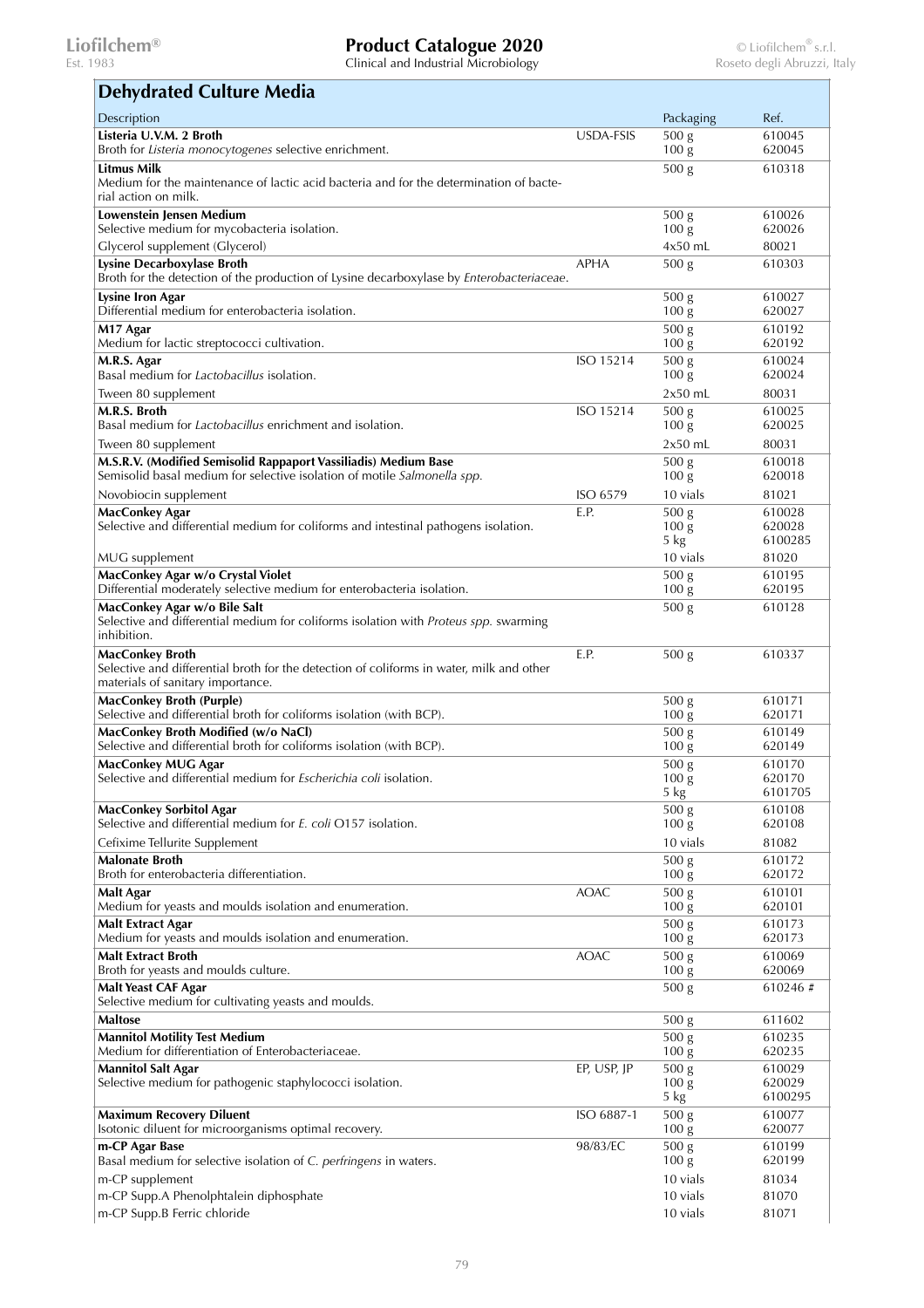| <b>Dehydrated Culture Media</b>                                                                                                                         |             |                                       |                   |
|---------------------------------------------------------------------------------------------------------------------------------------------------------|-------------|---------------------------------------|-------------------|
| Description                                                                                                                                             |             | Packaging                             | Ref.              |
| Listeria U.V.M. 2 Broth<br>Broth for Listeria monocytogenes selective enrichment.                                                                       | USDA-FSIS   | 500 <sub>g</sub><br>100 <sub>g</sub>  | 610045<br>620045  |
| <b>Litmus Milk</b><br>Medium for the maintenance of lactic acid bacteria and for the determination of bacte-                                            |             | 500 <sub>g</sub>                      | 610318            |
| rial action on milk.<br>Lowenstein Jensen Medium                                                                                                        |             |                                       |                   |
| Selective medium for mycobacteria isolation.                                                                                                            |             | 500 <sub>g</sub><br>100 <sub>g</sub>  | 610026<br>620026  |
| Glycerol supplement (Glycerol)                                                                                                                          |             | $4x50$ mL                             | 80021             |
| Lysine Decarboxylase Broth<br>Broth for the detection of the production of Lysine decarboxylase by Enterobacteriaceae.                                  | <b>APHA</b> | 500 <sub>g</sub>                      | 610303            |
| Lysine Iron Agar<br>Differential medium for enterobacteria isolation.                                                                                   |             | 500 <sub>g</sub><br>100 <sub>g</sub>  | 610027<br>620027  |
| M17 Agar<br>Medium for lactic streptococci cultivation.                                                                                                 |             | 500 <sub>g</sub><br>100 <sub>g</sub>  | 610192<br>620192  |
| M.R.S. Agar                                                                                                                                             | ISO 15214   | 500 <sub>g</sub>                      | 610024            |
| Basal medium for Lactobacillus isolation.                                                                                                               |             | 100 <sub>g</sub>                      | 620024            |
| Tween 80 supplement                                                                                                                                     |             | $2x50$ mL                             | 80031             |
| M.R.S. Broth<br>Basal medium for <i>Lactobacillus</i> enrichment and isolation.                                                                         | ISO 15214   | 500 <sub>g</sub><br>100 <sub>g</sub>  | 610025<br>620025  |
| Tween 80 supplement                                                                                                                                     |             | $2x50$ mL                             | 80031             |
| M.S.R.V. (Modified Semisolid Rappaport Vassiliadis) Medium Base                                                                                         |             | 500 <sub>g</sub>                      | 610018            |
| Semisolid basal medium for selective isolation of motile Salmonella spp.                                                                                |             | 100 <sub>g</sub>                      | 620018            |
| Novobiocin supplement                                                                                                                                   | ISO 6579    | 10 vials                              | 81021             |
| MacConkey Agar<br>Selective and differential medium for coliforms and intestinal pathogens isolation.                                                   | E.P.        | 500 <sub>g</sub><br>100 <sub>g</sub>  | 610028<br>620028  |
|                                                                                                                                                         |             | 5 kg                                  | 6100285           |
| MUG supplement                                                                                                                                          |             | 10 vials                              | 81020             |
| MacConkey Agar w/o Crystal Violet<br>Differential moderately selective medium for enterobacteria isolation.                                             |             | 500 g<br>100 <sub>g</sub>             | 610195<br>620195  |
| MacConkey Agar w/o Bile Salt                                                                                                                            |             | 500 g                                 | 610128            |
| Selective and differential medium for coliforms isolation with Proteus spp. swarming<br>inhibition.                                                     |             |                                       |                   |
| <b>MacConkey Broth</b><br>Selective and differential broth for the detection of coliforms in water, milk and other<br>materials of sanitary importance. | E.P.        | 500 <sub>g</sub>                      | 610337            |
| <b>MacConkey Broth (Purple)</b><br>Selective and differential broth for coliforms isolation (with BCP).                                                 |             | 500 <sub>g</sub><br>100 <sub>g</sub>  | 610171<br>620171  |
| MacConkey Broth Modified (w/o NaCl)                                                                                                                     |             | 500 <sub>g</sub>                      | 610149            |
| Selective and differential broth for coliforms isolation (with BCP).                                                                                    |             | 100 <sub>g</sub>                      | 620149            |
| MacConkey MUG Agar<br>Selective and differential medium for Escherichia coli isolation.                                                                 |             | 500 <sub>g</sub><br>$100\,\mathrm{g}$ | 610170<br>620170  |
|                                                                                                                                                         |             | 5 kg                                  | 6101705           |
| <b>MacConkey Sorbitol Agar</b>                                                                                                                          |             | 500 g                                 | 610108            |
| Selective and differential medium for E. coli O157 isolation.                                                                                           |             | 100 <sub>g</sub>                      | 620108            |
| Cefixime Tellurite Supplement<br><b>Malonate Broth</b>                                                                                                  |             | 10 vials<br>500 <sub>g</sub>          | 81082<br>610172   |
| Broth for enterobacteria differentiation.                                                                                                               |             | 100 <sub>g</sub>                      | 620172            |
| Malt Agar                                                                                                                                               | <b>AOAC</b> | $\overline{500}$ g                    | 610101            |
| Medium for yeasts and moulds isolation and enumeration.                                                                                                 |             | 100 <sub>g</sub>                      | 620101<br>610173  |
| <b>Malt Extract Agar</b><br>Medium for yeasts and moulds isolation and enumeration.                                                                     |             | 500 <sub>g</sub><br>100 <sub>g</sub>  | 620173            |
| <b>Malt Extract Broth</b><br>Broth for yeasts and moulds culture.                                                                                       | <b>AOAC</b> | 500 g<br>100 <sub>g</sub>             | 610069<br>620069  |
| <b>Malt Yeast CAF Agar</b>                                                                                                                              |             | 500 <sub>g</sub>                      | 610246#           |
| Selective medium for cultivating yeasts and moulds.                                                                                                     |             |                                       |                   |
| <b>Maltose</b>                                                                                                                                          |             | 500 <sub>g</sub>                      | 611602            |
| <b>Mannitol Motility Test Medium</b><br>Medium for differentiation of Enterobacteriaceae.                                                               |             | 500 <sub>g</sub><br>100 <sub>g</sub>  | 610235<br>620235  |
| <b>Mannitol Salt Agar</b>                                                                                                                               | EP, USP, JP | 500 <sub>g</sub>                      | 610029            |
| Selective medium for pathogenic staphylococci isolation.                                                                                                |             | 100 <sub>g</sub><br>5 kg              | 620029<br>6100295 |
| <b>Maximum Recovery Diluent</b>                                                                                                                         | ISO 6887-1  | 500 <sub>g</sub>                      | 610077            |
| Isotonic diluent for microorganisms optimal recovery.                                                                                                   | 98/83/EC    | 100 <sub>g</sub>                      | 620077            |
| m-CP Agar Base<br>Basal medium for selective isolation of C. perfringens in waters.                                                                     |             | 500 <sub>g</sub><br>$100\,\mathrm{g}$ | 610199<br>620199  |
| m-CP supplement                                                                                                                                         |             | 10 vials                              | 81034             |
| m-CP Supp.A Phenolphtalein diphosphate                                                                                                                  |             | 10 vials                              | 81070             |
| m-CP Supp.B Ferric chloride                                                                                                                             |             | 10 vials                              | 81071             |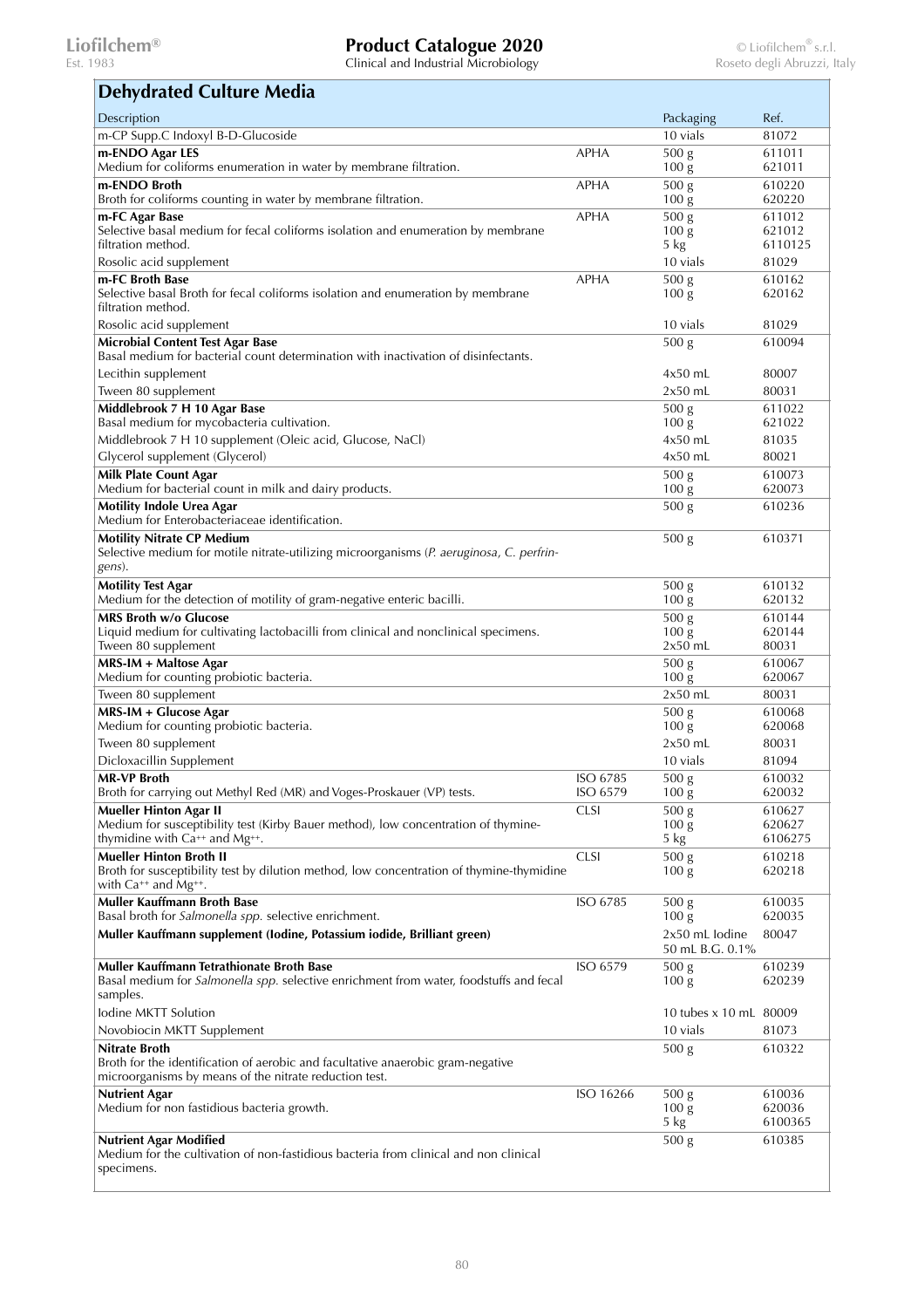Clinical and Industrial Microbiology

### m-CP Supp.C Indoxyl B-D-Glucoside 81072 **m-ENDO Agar LES**  Medium for coliforms enumeration in water by membrane filtration. APHA 500 g 100 g 611011 621011 **m-ENDO Broth**  Broth for coliforms counting in water by membrane filtration. APHA 500 g  $100 \mathrm{g}$ 610220 620220 **m-FC Agar Base**  Selective basal medium for fecal coliforms isolation and enumeration by membrane filtration method. APHA 500 g  $100 \mathrm{g}$ 5 kg 611012 621012 6110125 Rosolic acid supplement 10 vials 81029 **m-FC Broth Base**  Selective basal Broth for fecal coliforms isolation and enumeration by membrane filtration method.  $APHA$  500 g 100 g 610162 620162 Rosolic acid supplement and the supplement of the state of the state and the state and the state and the state  $81029$ **Microbial Content Test Agar Base**  Basal medium for bacterial count determination with inactivation of disinfectants. 500 g 610094 Lecithin supplement 4x50 mL 80007 Tween 80 supplement 80031 and 80031 and 80031 and 80031 and 80031 and 80031 and 80031 and 80031 and 80031 and 80031 and 80031 and 80031 and 80031 and 80031 and 80031 and 80031 and 80031 and 80031 and 80031 and 80031 and 80 **Middlebrook 7 H 10 Agar Base**  Basal medium for mycobacteria cultivation. 500 g  $100 \mathrm{g}$ 611022 621022 Middlebrook 7 H 10 supplement (Oleic acid, Glucose, NaCl) and the state of the state of the state and 81035 Glycerol supplement (Glycerol) and the control of the control of the control of the control of the control of the control of the control of the control of the control of the control of the control of the control of the con **Milk Plate Count Agar**  Medium for bacterial count in milk and dairy products. 500 g  $100 \mathrm{g}$ 610073 620073 **Motility Indole Urea Agar**  Medium for Enterobacteriaceae identification. 500 g 610236 **Motility Nitrate CP Medium**  Selective medium for motile nitrate-utilizing microorganisms (*P. aeruginosa*, *C. perfringens*). 500 g 610371 **Motility Test Agar**  Medium for the detection of motility of gram-negative enteric bacilli. 500 g  $100 \mathrm{g}$ 610132 620132 **MRS Broth w/o Glucose**  Liquid medium for cultivating lactobacilli from clinical and nonclinical specimens. Tween 80 supplement 500 g  $100 \mathrm{~g}$  $2x50$  mL 610144 620144 80031 **MRS-IM + Maltose Agar**  Medium for counting probiotic bacteria.  $\overline{500 g}$ 100 g 610067 620067  $\frac{1}{2}$  Tween 80 supplement  $\frac{80031}{2}$ **MRS-IM + Glucose Agar**  Medium for counting probiotic bacteria. 500 g 100 g 610068 620068 Tween 80 supplement 80031 Dicloxacillin Supplement 10 vials 81094 **MR-VP Broth**  Broth for carrying out Methyl Red (MR) and Voges-Proskauer (VP) tests. ISO 6785 ISO 6579  $\overline{500}$  g  $100 \mathrm{g}$ 610032 620032 **Mueller Hinton Agar II**  Medium for susceptibility test (Kirby Bauer method), low concentration of thyminethymidine with  $Ca^{++}$  and  $Mg^{++}$  $CLSI$  500 g 100 g 5 kg 610627 620627 6106275 **Mueller Hinton Broth II**  Broth for susceptibility test by dilution method, low concentration of thymine-thymidine with Ca++ and Mg++. CLSI 500 g 100 g 610218 620218 **Muller Kauffmann Broth Base**  Basal broth for *Salmonella spp.* selective enrichment.  $\overline{ISO\ 6785}$  500 g  $100 \mathrm{g}$ 610035 620035 **Muller Kauffmann supplement (Iodine, Potassium iodide, Brilliant green)** 2x50 mL Iodine 50 mL B.G. 0.1% 80047 **Muller Kauffmann Tetrathionate Broth Base**  Basal medium for *Salmonella spp.* selective enrichment from water, foodstuffs and fecal samples. ISO 6579 500 g  $100 \mathrm{g}$ 610239 620239 Iodine MKTT Solution 10 tubes x 10 mL 80009 Novobiocin MKTT Supplement 10 vials 81073 **Nitrate Broth**  Broth for the identification of aerobic and facultative anaerobic gram-negative microorganisms by means of the nitrate reduction test. 500 g 610322 **Nutrient Agar**  Medium for non fastidious bacteria growth.  $\overline{ISO 16266 500 g}$  $100 \mathrm{g}$ 5 kg 610036 620036 6100365 **Nutrient Agar Modified**  Medium for the cultivation of non-fastidious bacteria from clinical and non clinical specimens. 500 g 610385 **Dehydrated Culture Media** Description Packaging Ref.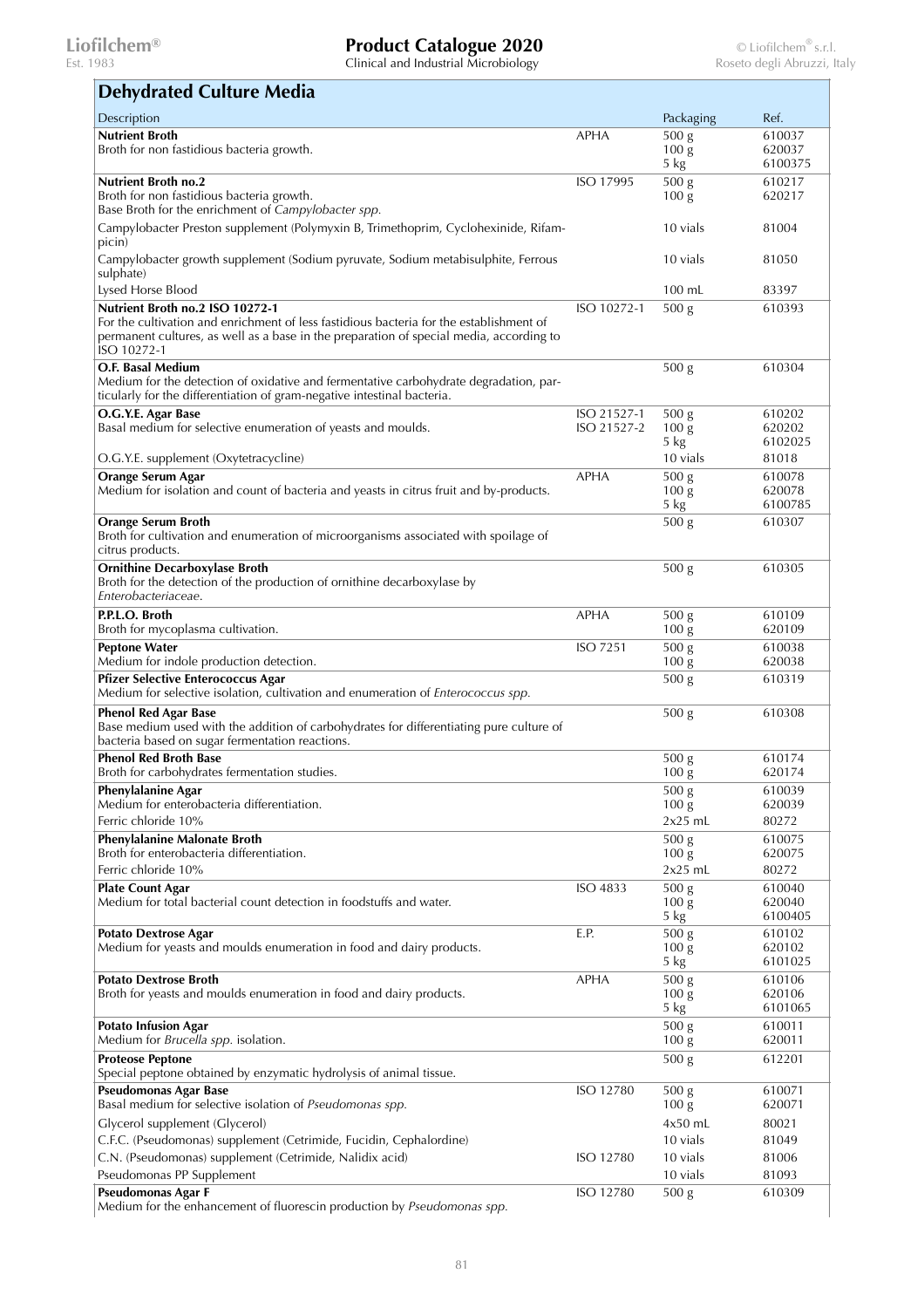Clinical and Industrial Microbiology

### **Nutrient Broth**  Broth for non fastidious bacteria growth. APHA 500 g  $100 \mathrm{g}$ 5 kg 610037 620037 6100375 **Nutrient Broth no.2**  Broth for non fastidious bacteria growth. Base Broth for the enrichment of *Campylobacter spp.* ISO 17995 500 g  $100 \mathrm{g}$ 610217 620217 Campylobacter Preston supplement (Polymyxin B, Trimethoprim, Cyclohexinide, Rifampicin) 10 vials 81004 Campylobacter growth supplement (Sodium pyruvate, Sodium metabisulphite, Ferrous sulphate) 10 vials 81050 Lysed Horse Blood 100 mL 83397 **Nutrient Broth no.2 ISO 10272-1**  For the cultivation and enrichment of less fastidious bacteria for the establishment of permanent cultures, as well as a base in the preparation of special media, according to ISO 10272-1  $ISO$  10272-1 500 g 610393 **O.F. Basal Medium**  Medium for the detection of oxidative and fermentative carbohydrate degradation, particularly for the differentiation of gram-negative intestinal bacteria. 500 g 610304 **O.G.Y.E. Agar Base**  Basal medium for selective enumeration of yeasts and moulds. ISO 21527-1 ISO 21527-2 500 g  $100 \text{ g}$ 5 kg 610202 620202 6102025 O.G.Y.E. supplement (Oxytetracycline) 10 vials 81018 **Orange Serum Agar**  Medium for isolation and count of bacteria and yeasts in citrus fruit and by-products. APHA 500 g 100 g 5 kg 610078 620078 6100785 **Orange Serum Broth**  Broth for cultivation and enumeration of microorganisms associated with spoilage of citrus products. 500 g 610307 **Ornithine Decarboxylase Broth**  Broth for the detection of the production of ornithine decarboxylase by *Enterobacteriaceae*. 500 g 610305 **P.P.L.O. Broth**  Broth for mycoplasma cultivation.  $\overline{APHA}$  500 g 100 g 610109 620109 **Peptone Water**  Medium for indole production detection. ISO 7251 500 g  $100 \mathrm{g}$ 610038 620038 **Pfizer Selective Enterococcus Agar**  Medium for selective isolation, cultivation and enumeration of *Enterococcus spp.* 500 g 610319 **Phenol Red Agar Base**  Base medium used with the addition of carbohydrates for differentiating pure culture of bacteria based on sugar fermentation reactions. 500 g 610308 **Phenol Red Broth Base**  Broth for carbohydrates fermentation studies. 500 g  $100 \mathrm{g}$ 610174 620174 **Phenylalanine Agar**  Medium for enterobacteria differentiation.  $\frac{1}{500}$  g 100 g 610039 620039 Ferric chloride 10% 2x25 mL 80272 **Phenylalanine Malonate Broth**  Broth for enterobacteria differentiation. 500 g 100 g 610075 620075 Ferric chloride 10% 2x25 mL 80272 **Plate Count Agar**  Medium for total bacterial count detection in foodstuffs and water. ISO 4833 500 g  $100 \mathrm{g}$ 5 kg 610040 620040 6100405 **Potato Dextrose Agar**  Medium for yeasts and moulds enumeration in food and dairy products. E.P.  $500 g$ 100 g 5 kg 610102 620102 6101025 **Potato Dextrose Broth**  Broth for yeasts and moulds enumeration in food and dairy products. APHA 500 g  $100 \overline{g}$ 5 kg 610106 620106 6101065 **Potato Infusion Agar**  Medium for *Brucella spp.* isolation.  $\overline{500}$  g 100 g 610011 620011 **Proteose Peptone**  Special peptone obtained by enzymatic hydrolysis of animal tissue. 500 g 612201 **Pseudomonas Agar Base**  Basal medium for selective isolation of *Pseudomonas spp.*   $\overline{ISO 12780}$  500 g 100 g 610071 620071 Glycerol supplement (Glycerol) 60021 and 50021 and 50021 and 4x50 mL 80021 C.F.C. (Pseudomonas) supplement (Cetrimide, Fucidin, Cephalordine) 10 vials 81049 C.N. (Pseudomonas) supplement (Cetrimide, Nalidix acid) ISO 12780 10 vials 81006 Pseudomonas PP Supplement **10 vials 81093** 81093 **Pseudomonas Agar F**  ISO 12780 500 g 610309 **Dehydrated Culture Media** Description Packaging Ref.

Medium for the enhancement of fluorescin production by *Pseudomonas spp.*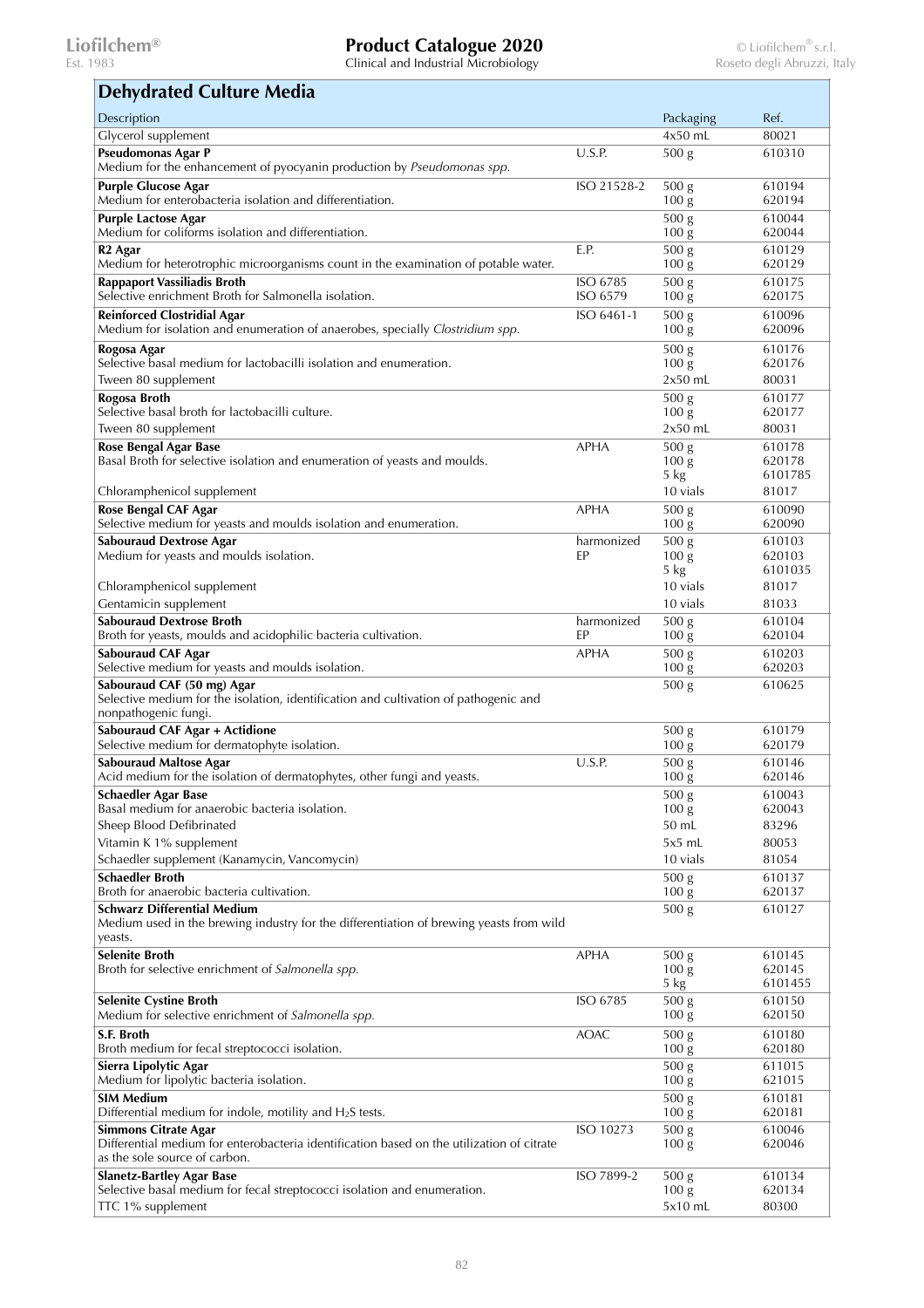Est. 1983 Clinical and Industrial Microbiology Roseto degli Abruzzi, Italy

 $\overline{\phantom{a}}$ 

### $\mathbf{r}$ **Dehydrated Culture Media**

| Dehydrated Culture Media                                                                                                                                  |                      |                                                |                             |
|-----------------------------------------------------------------------------------------------------------------------------------------------------------|----------------------|------------------------------------------------|-----------------------------|
| Description                                                                                                                                               |                      | Packaging                                      | Ref.                        |
| Glycerol supplement                                                                                                                                       |                      | 4x50 mL                                        | 80021                       |
| Pseudomonas Agar P<br>Medium for the enhancement of pyocyanin production by Pseudomonas spp.                                                              | U.S.P.               | 500 g                                          | 610310                      |
| <b>Purple Glucose Agar</b><br>Medium for enterobacteria isolation and differentiation.                                                                    | ISO 21528-2          | 500 <sub>g</sub><br>100 <sub>g</sub>           | 610194<br>620194            |
| <b>Purple Lactose Agar</b><br>Medium for coliforms isolation and differentiation.                                                                         |                      | 500 g<br>$100\,\mathrm{g}$                     | 610044<br>620044            |
| R <sub>2</sub> Agar<br>Medium for heterotrophic microorganisms count in the examination of potable water.                                                 | E.P.                 | 500 g<br>$100\,\mathrm{g}$                     | 610129<br>620129            |
| <b>Rappaport Vassiliadis Broth</b><br>Selective enrichment Broth for Salmonella isolation.                                                                | ISO 6785<br>ISO 6579 | 500 <sub>g</sub><br>$100\,\mathrm{g}$          | 610175<br>620175            |
| <b>Reinforced Clostridial Agar</b><br>Medium for isolation and enumeration of anaerobes, specially Clostridium spp.                                       | ISO 6461-1           | 500 g<br>100 <sub>g</sub>                      | 610096<br>620096            |
| Rogosa Agar<br>Selective basal medium for lactobacilli isolation and enumeration.                                                                         |                      | 500 <sub>g</sub><br>100 <sub>g</sub>           | 610176<br>620176            |
| Tween 80 supplement                                                                                                                                       |                      | $2x50$ mL                                      | 80031                       |
| Rogosa Broth<br>Selective basal broth for lactobacilli culture.                                                                                           |                      | 500 <sub>g</sub><br>100 <sub>g</sub>           | 610177<br>620177            |
| Tween 80 supplement                                                                                                                                       |                      | $2x50$ mL                                      | 80031                       |
| Rose Bengal Agar Base<br>Basal Broth for selective isolation and enumeration of yeasts and moulds.                                                        | <b>APHA</b>          | 500 <sub>g</sub><br>100 <sub>g</sub><br>$5$ kg | 610178<br>620178<br>6101785 |
| Chloramphenicol supplement                                                                                                                                |                      | 10 vials                                       | 81017                       |
| Rose Bengal CAF Agar<br>Selective medium for yeasts and moulds isolation and enumeration.                                                                 | <b>APHA</b>          | 500 <sub>g</sub><br>100 <sub>g</sub>           | 610090<br>620090            |
| <b>Sabouraud Dextrose Agar</b><br>Medium for yeasts and moulds isolation.                                                                                 | harmonized<br>EP     | 500 <sub>g</sub><br>100 <sub>g</sub><br>5 kg   | 610103<br>620103<br>6101035 |
| Chloramphenicol supplement                                                                                                                                |                      | 10 vials                                       | 81017                       |
| Gentamicin supplement<br><b>Sabouraud Dextrose Broth</b>                                                                                                  | harmonized           | 10 vials<br>500 <sub>g</sub>                   | 81033<br>610104             |
| Broth for yeasts, moulds and acidophilic bacteria cultivation.                                                                                            | EP                   | 100 <sub>g</sub>                               | 620104                      |
| <b>Sabouraud CAF Agar</b><br>Selective medium for yeasts and moulds isolation.                                                                            | <b>APHA</b>          | 500 <sub>g</sub><br>100 <sub>g</sub>           | 610203<br>620203            |
| Sabouraud CAF (50 mg) Agar<br>Selective medium for the isolation, identification and cultivation of pathogenic and<br>nonpathogenic fungi.                |                      | 500 <sub>g</sub>                               | 610625                      |
| <b>Sabouraud CAF Agar + Actidione</b><br>Selective medium for dermatophyte isolation.                                                                     |                      | 500 <sub>g</sub><br>$100\,\mathrm{g}$          | 610179<br>620179            |
| <b>Sabouraud Maltose Agar</b><br>Acid medium for the isolation of dermatophytes, other fungi and yeasts.                                                  | U.S.P.               | 500 g<br>100 <sub>g</sub>                      | 610146<br>620146            |
| <b>Schaedler Agar Base</b><br>Basal medium for anaerobic bacteria isolation.                                                                              |                      | 500 <sub>g</sub><br>100 <sub>g</sub>           | 610043<br>620043            |
| Sheep Blood Defibrinated                                                                                                                                  |                      | 50 mL                                          | 83296                       |
| Vitamin K 1% supplement                                                                                                                                   |                      | $5x5$ mL                                       | 80053                       |
| Schaedler supplement (Kanamycin, Vancomycin)<br><b>Schaedler Broth</b>                                                                                    |                      | 10 vials                                       | 81054<br>610137             |
| Broth for anaerobic bacteria cultivation.                                                                                                                 |                      | 500 g<br>$100\,\mathrm{g}$                     | 620137                      |
| <b>Schwarz Differential Medium</b><br>Medium used in the brewing industry for the differentiation of brewing yeasts from wild<br>yeasts.                  |                      | 500 g                                          | 610127                      |
| <b>Selenite Broth</b><br>Broth for selective enrichment of Salmonella spp.                                                                                | <b>APHA</b>          | 500 <sub>g</sub><br>100 <sub>g</sub>           | 610145<br>620145            |
| <b>Selenite Cystine Broth</b><br>Medium for selective enrichment of Salmonella spp.                                                                       | ISO 6785             | 5 kg<br>500 g<br>100 <sub>g</sub>              | 6101455<br>610150<br>620150 |
| S.F. Broth<br>Broth medium for fecal streptococci isolation.                                                                                              | <b>AOAC</b>          | 500 <sub>g</sub><br>100 <sub>g</sub>           | 610180<br>620180            |
| Sierra Lipolytic Agar<br>Medium for lipolytic bacteria isolation.                                                                                         |                      | 500 <sub>g</sub><br>$100\,\mathrm{g}$          | 611015<br>621015            |
| <b>SIM Medium</b><br>Differential medium for indole, motility and $H_2S$ tests.                                                                           |                      | 500 g<br>100 <sub>g</sub>                      | 610181<br>620181            |
| <b>Simmons Citrate Agar</b><br>Differential medium for enterobacteria identification based on the utilization of citrate<br>as the sole source of carbon. | ISO 10273            | 500 g<br>$100\,\mathrm{g}$                     | 610046<br>620046            |
| <b>Slanetz-Bartley Agar Base</b><br>Selective basal medium for fecal streptococci isolation and enumeration.                                              | ISO 7899-2           | 500 <sub>g</sub><br>$100\,\mathrm{g}$          | 610134<br>620134            |
| TTC 1% supplement                                                                                                                                         |                      | $5x10$ mL                                      | 80300                       |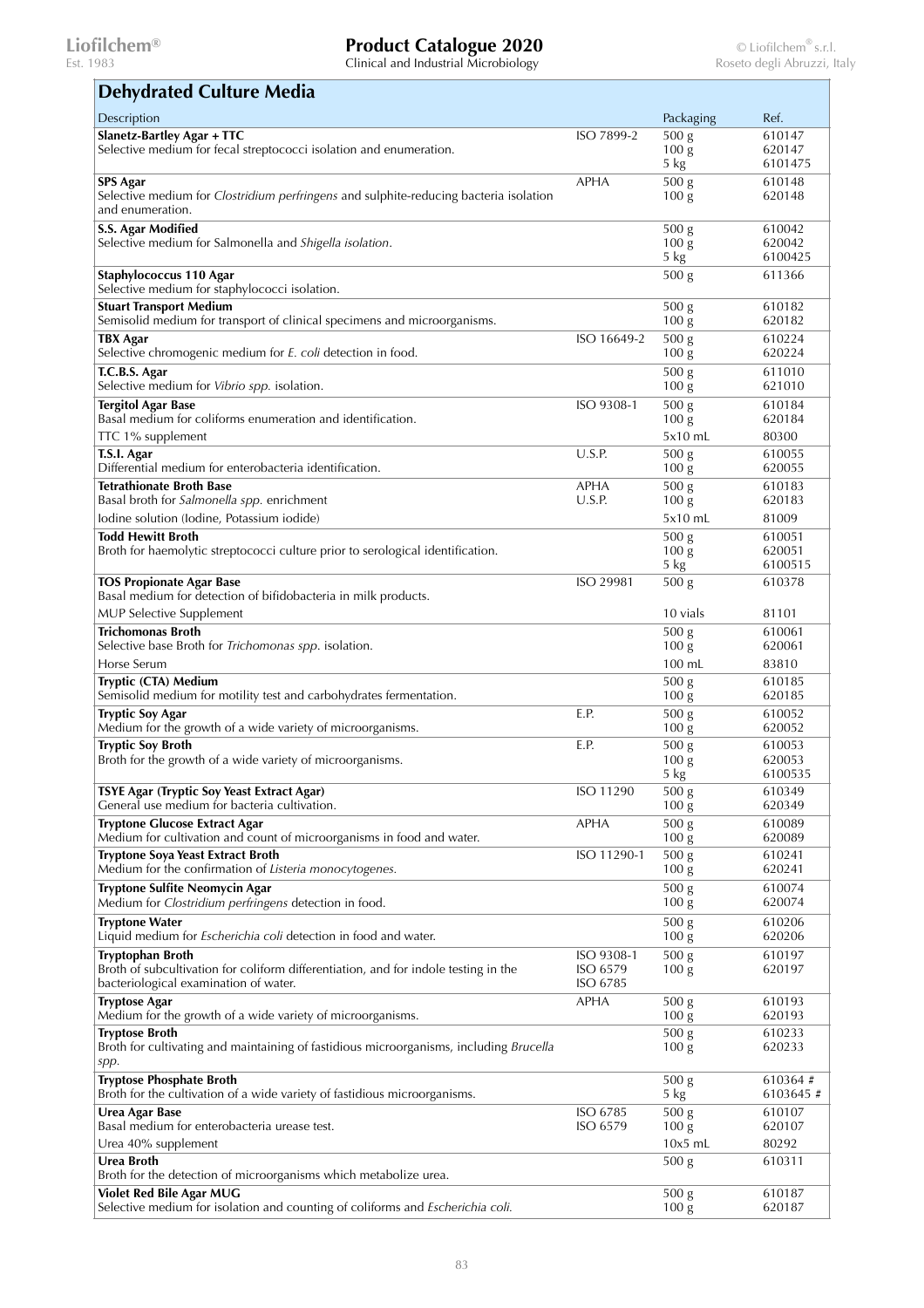| <b>Dehydrated Culture Media</b>                                                                              |                         |                                      |                     |
|--------------------------------------------------------------------------------------------------------------|-------------------------|--------------------------------------|---------------------|
| Description                                                                                                  |                         | Packaging                            | Ref.                |
| <b>Slanetz-Bartley Agar + TTC</b>                                                                            | ISO 7899-2              | 500 <sub>g</sub>                     | 610147              |
| Selective medium for fecal streptococci isolation and enumeration.                                           |                         | 100 <sub>g</sub>                     | 620147              |
| <b>SPS Agar</b>                                                                                              | APHA                    | 5 kg<br>500 <sub>g</sub>             | 6101475<br>610148   |
| Selective medium for <i>Clostridium perfringens</i> and sulphite-reducing bacteria isolation                 |                         | 100 <sub>g</sub>                     | 620148              |
| and enumeration.                                                                                             |                         |                                      |                     |
| S.S. Agar Modified                                                                                           |                         | 500 <sub>g</sub>                     | 610042              |
| Selective medium for Salmonella and Shigella isolation.                                                      |                         | 100 <sub>g</sub><br>5 kg             | 620042<br>6100425   |
| Staphylococcus 110 Agar                                                                                      |                         | 500 <sub>g</sub>                     | 611366              |
| Selective medium for staphylococci isolation.                                                                |                         |                                      |                     |
| <b>Stuart Transport Medium</b>                                                                               |                         | 500 <sub>g</sub>                     | 610182              |
| Semisolid medium for transport of clinical specimens and microorganisms.                                     |                         | 100 <sub>g</sub>                     | 620182              |
| TBX Agar<br>Selective chromogenic medium for E. coli detection in food.                                      | ISO 16649-2             | 500 <sub>g</sub><br>100 <sub>g</sub> | 610224<br>620224    |
| T.C.B.S. Agar                                                                                                |                         | 500 g                                | 611010              |
| Selective medium for Vibrio spp. isolation.                                                                  |                         | 100 <sub>g</sub>                     | 621010              |
| <b>Tergitol Agar Base</b>                                                                                    | ISO 9308-1              | 500 <sub>g</sub>                     | 610184              |
| Basal medium for coliforms enumeration and identification.                                                   |                         | 100 <sub>g</sub>                     | 620184              |
| TTC 1% supplement                                                                                            |                         | 5x10 mL                              | 80300               |
| T.S.I. Agar<br>Differential medium for enterobacteria identification.                                        | U.S.P.                  | 500 <sub>g</sub><br>100 <sub>g</sub> | 610055<br>620055    |
| <b>Tetrathionate Broth Base</b>                                                                              | <b>APHA</b>             | 500 g                                | 610183              |
| Basal broth for Salmonella spp. enrichment                                                                   | U.S.P.                  | 100 <sub>g</sub>                     | 620183              |
| Iodine solution (Iodine, Potassium iodide)                                                                   |                         | 5x10 mL                              | 81009               |
| <b>Todd Hewitt Broth</b>                                                                                     |                         | 500 <sub>g</sub>                     | 610051              |
| Broth for haemolytic streptococci culture prior to serological identification.                               |                         | 100 <sub>g</sub>                     | 620051              |
|                                                                                                              | ISO 29981               | $5 \text{ kg}$                       | 6100515             |
| <b>TOS Propionate Agar Base</b><br>Basal medium for detection of bifidobacteria in milk products.            |                         | 500 <sub>g</sub>                     | 610378              |
| <b>MUP Selective Supplement</b>                                                                              |                         | 10 vials                             | 81101               |
| <b>Trichomonas Broth</b>                                                                                     |                         | 500 <sub>g</sub>                     | 610061              |
| Selective base Broth for Trichomonas spp. isolation.                                                         |                         | 100 <sub>g</sub>                     | 620061              |
| Horse Serum                                                                                                  |                         | 100 mL                               | 83810               |
| Tryptic (CTA) Medium                                                                                         |                         | 500 <sub>g</sub>                     | 610185              |
| Semisolid medium for motility test and carbohydrates fermentation.                                           | E.P.                    | 100 <sub>g</sub>                     | 620185<br>610052    |
| <b>Tryptic Soy Agar</b><br>Medium for the growth of a wide variety of microorganisms.                        |                         | 500 <sub>g</sub><br>100 <sub>g</sub> | 620052              |
| <b>Tryptic Soy Broth</b>                                                                                     | E.P.                    | 500 <sub>g</sub>                     | 610053              |
| Broth for the growth of a wide variety of microorganisms.                                                    |                         | 100 <sub>g</sub>                     | 620053              |
|                                                                                                              |                         | 5 kg                                 | 6100535             |
| TSYE Agar (Tryptic Soy Yeast Extract Agar)<br>General use medium for bacteria cultivation.                   | ISO 11290               | 500 <sub>g</sub><br>100 <sub>g</sub> | 610349<br>620349    |
| <b>Tryptone Glucose Extract Agar</b>                                                                         | <b>APHA</b>             | 500 <sub>g</sub>                     | 610089              |
| Medium for cultivation and count of microorganisms in food and water.                                        |                         | 100 <sub>g</sub>                     | 620089              |
| <b>Tryptone Soya Yeast Extract Broth</b>                                                                     | ISO 11290-1             | 500 <sub>g</sub>                     | 610241              |
| Medium for the confirmation of Listeria monocytogenes.                                                       |                         | 100 <sub>g</sub>                     | 620241              |
| <b>Tryptone Sulfite Neomycin Agar</b><br>Medium for Clostridium perfringens detection in food.               |                         | 500 <sub>g</sub><br>100 <sub>g</sub> | 610074<br>620074    |
| <b>Tryptone Water</b>                                                                                        |                         | 500 g                                | 610206              |
| Liquid medium for <i>Escherichia coli</i> detection in food and water.                                       |                         | 100 <sub>g</sub>                     | 620206              |
| <b>Tryptophan Broth</b>                                                                                      | ISO 9308-1              | 500 <sub>g</sub>                     | 610197              |
| Broth of subcultivation for coliform differentiation, and for indole testing in the                          | ISO 6579                | 100 <sub>g</sub>                     | 620197              |
| bacteriological examination of water.<br><b>Tryptose Agar</b>                                                | ISO 6785<br><b>APHA</b> | 500 <sub>g</sub>                     | 610193              |
| Medium for the growth of a wide variety of microorganisms.                                                   |                         | 100 <sub>g</sub>                     | 620193              |
| <b>Tryptose Broth</b>                                                                                        |                         | 500 g                                | 610233              |
| Broth for cultivating and maintaining of fastidious microorganisms, including <i>Brucella</i>                |                         | 100 <sub>g</sub>                     | 620233              |
| spp.                                                                                                         |                         |                                      |                     |
| <b>Tryptose Phosphate Broth</b><br>Broth for the cultivation of a wide variety of fastidious microorganisms. |                         | 500 g<br>$5 \text{ kg}$              | 610364#<br>6103645# |
| Urea Agar Base                                                                                               | ISO 6785                | 500 g                                | 610107              |
| Basal medium for enterobacteria urease test.                                                                 | ISO 6579                | 100 <sub>g</sub>                     | 620107              |
| Urea 40% supplement                                                                                          |                         | $10x5$ mL                            | 80292               |
| Urea Broth                                                                                                   |                         | 500 <sub>g</sub>                     | 610311              |
| Broth for the detection of microorganisms which metabolize urea.                                             |                         |                                      |                     |
| Violet Red Bile Agar MUG<br>Selective medium for isolation and counting of coliforms and Escherichia coli.   |                         | 500 <sub>g</sub><br>100 <sub>g</sub> | 610187<br>620187    |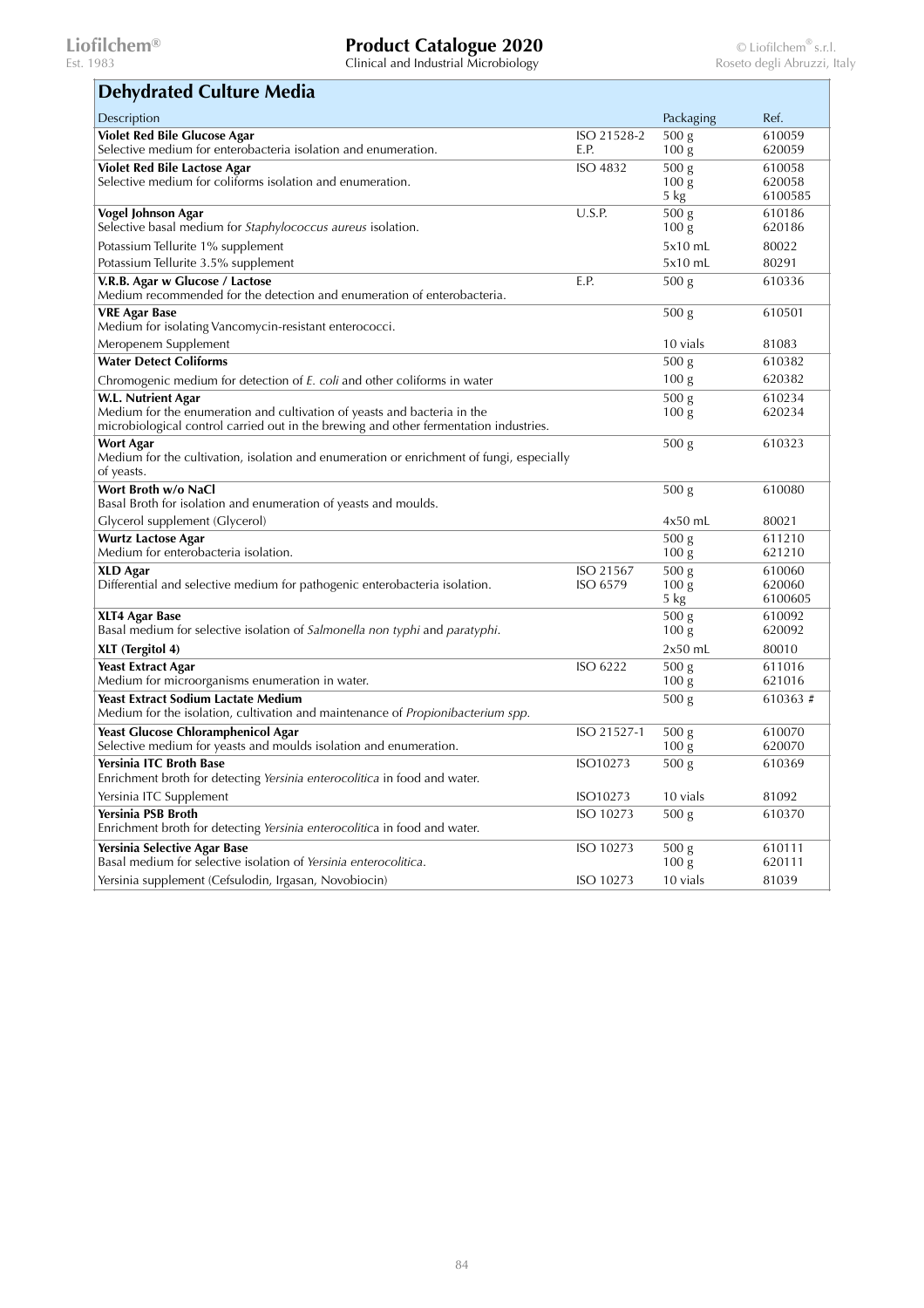| <b>Dehydrated Culture Media</b>                                                                                                                                   |             |                                      |                   |
|-------------------------------------------------------------------------------------------------------------------------------------------------------------------|-------------|--------------------------------------|-------------------|
| Description                                                                                                                                                       |             | Packaging                            | Ref.              |
| <b>Violet Red Bile Glucose Agar</b>                                                                                                                               | ISO 21528-2 | 500 g                                | 610059            |
| Selective medium for enterobacteria isolation and enumeration.                                                                                                    | E.P.        | 100 <sub>g</sub>                     | 620059            |
| <b>Violet Red Bile Lactose Agar</b><br>Selective medium for coliforms isolation and enumeration.                                                                  | ISO 4832    | 500 <sub>g</sub><br>100 <sub>g</sub> | 610058<br>620058  |
|                                                                                                                                                                   |             | 5 kg                                 | 6100585           |
| Vogel Johnson Agar<br>Selective basal medium for Staphylococcus aureus isolation.                                                                                 | U.S.P.      | 500 <sub>g</sub><br>100 <sub>g</sub> | 610186<br>620186  |
| Potassium Tellurite 1% supplement                                                                                                                                 |             | 5x10 mL                              | 80022             |
| Potassium Tellurite 3.5% supplement                                                                                                                               |             | 5x10 mL                              | 80291             |
| V.R.B. Agar w Glucose / Lactose<br>Medium recommended for the detection and enumeration of enterobacteria.                                                        | E.P.        | 500 <sub>g</sub>                     | 610336            |
| <b>VRE Agar Base</b><br>Medium for isolating Vancomycin-resistant enterococci.                                                                                    |             | 500 <sub>g</sub>                     | 610501            |
| Meropenem Supplement                                                                                                                                              |             | 10 vials                             | 81083             |
| <b>Water Detect Coliforms</b>                                                                                                                                     |             | 500 <sub>g</sub>                     | 610382            |
| Chromogenic medium for detection of E. coli and other coliforms in water                                                                                          |             | 100 <sub>g</sub>                     | 620382            |
| <b>W.L. Nutrient Agar</b>                                                                                                                                         |             | 500 <sub>g</sub>                     | 610234            |
| Medium for the enumeration and cultivation of yeasts and bacteria in the<br>microbiological control carried out in the brewing and other fermentation industries. |             | 100 <sub>g</sub>                     | 620234            |
| Wort Agar                                                                                                                                                         |             | 500 <sub>g</sub>                     | 610323            |
| Medium for the cultivation, isolation and enumeration or enrichment of fungi, especially<br>of yeasts.                                                            |             |                                      |                   |
| Wort Broth w/o NaCl<br>Basal Broth for isolation and enumeration of yeasts and moulds.                                                                            |             | 500 <sub>g</sub>                     | 610080            |
| Glycerol supplement (Glycerol)                                                                                                                                    |             | $4x50$ mL                            | 80021             |
| <b>Wurtz Lactose Agar</b>                                                                                                                                         |             | 500 g                                | 611210            |
| Medium for enterobacteria isolation.                                                                                                                              |             | 100 <sub>g</sub>                     | 621210            |
| <b>XLD</b> Agar                                                                                                                                                   | ISO 21567   | 500 <sub>g</sub>                     | 610060            |
| Differential and selective medium for pathogenic enterobacteria isolation.                                                                                        | ISO 6579    | 100 <sub>g</sub><br>$5 \text{ kg}$   | 620060<br>6100605 |
| XLT4 Agar Base                                                                                                                                                    |             | 500 <sub>g</sub>                     | 610092            |
| Basal medium for selective isolation of Salmonella non typhi and paratyphi.                                                                                       |             | 100 g                                | 620092            |
| XLT (Tergitol 4)                                                                                                                                                  |             | $2x50$ mL                            | 80010             |
| <b>Yeast Extract Agar</b>                                                                                                                                         | ISO 6222    | 500 <sub>g</sub>                     | 611016            |
| Medium for microorganisms enumeration in water.                                                                                                                   |             | 100 <sub>g</sub>                     | 621016            |
| <b>Yeast Extract Sodium Lactate Medium</b><br>Medium for the isolation, cultivation and maintenance of <i>Propionibacterium spp</i> .                             |             | 500 <sub>g</sub>                     | 610363#           |
| <b>Yeast Glucose Chloramphenicol Agar</b>                                                                                                                         | ISO 21527-1 | 500 <sub>g</sub>                     | 610070            |
| Selective medium for yeasts and moulds isolation and enumeration.                                                                                                 |             | 100 <sub>g</sub>                     | 620070            |
| <b>Yersinia ITC Broth Base</b><br>Enrichment broth for detecting Yersinia enterocolitica in food and water.                                                       | ISO10273    | 500 <sub>g</sub>                     | 610369            |
| Yersinia ITC Supplement                                                                                                                                           | ISO10273    | 10 vials                             | 81092             |
| Yersinia PSB Broth<br>Enrichment broth for detecting Yersinia enterocolitica in food and water.                                                                   | ISO 10273   | 500 <sub>g</sub>                     | 610370            |
| Yersinia Selective Agar Base                                                                                                                                      | ISO 10273   | 500 g                                | 610111            |
| Basal medium for selective isolation of Yersinia enterocolitica.                                                                                                  |             | 100 <sub>g</sub>                     | 620111            |
| Yersinia supplement (Cefsulodin, Irgasan, Novobiocin)                                                                                                             | ISO 10273   | 10 vials                             | 81039             |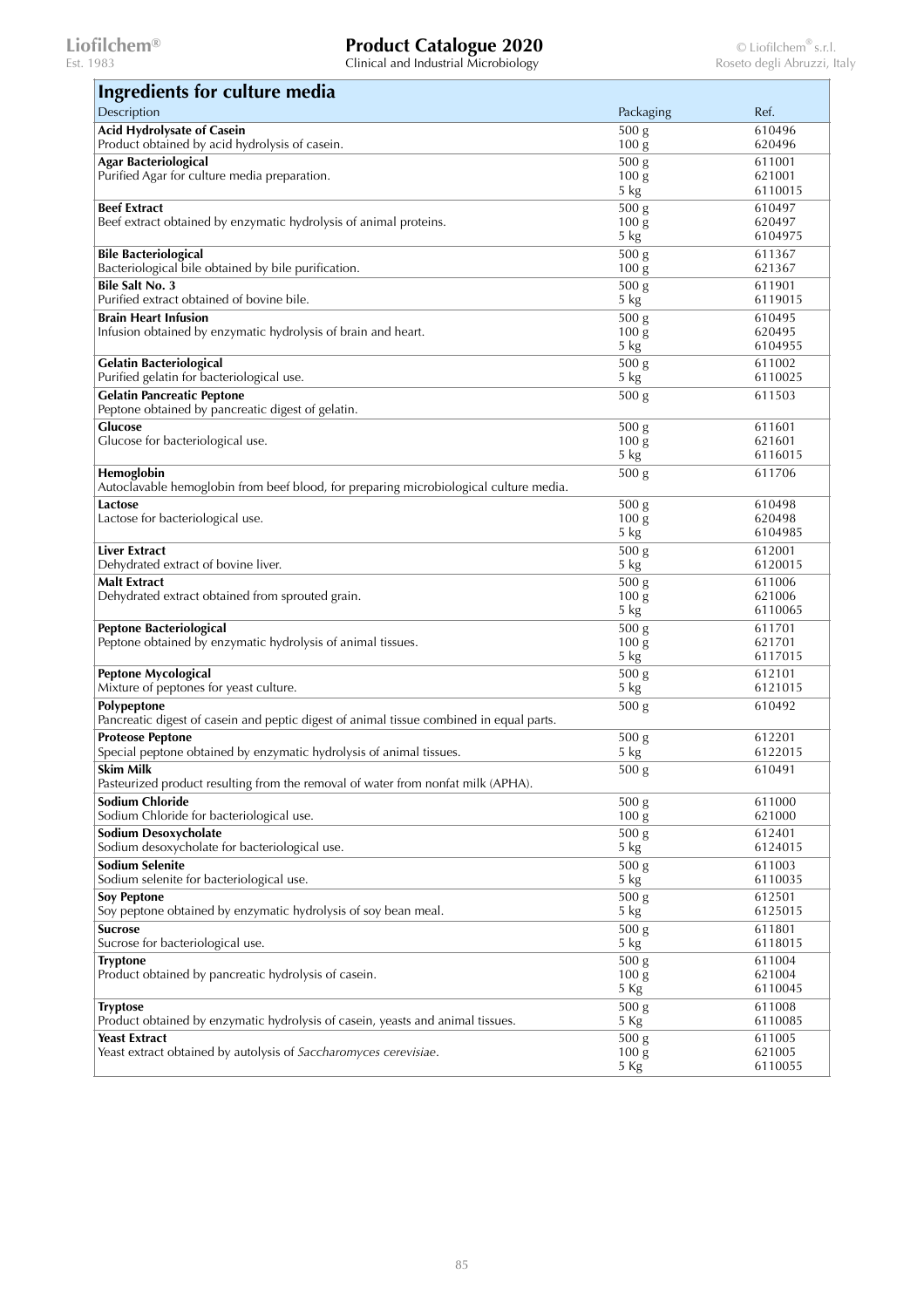| Ingredients for culture media                                                                  |                                      |                   |
|------------------------------------------------------------------------------------------------|--------------------------------------|-------------------|
| Description                                                                                    | Packaging                            | Ref.              |
| <b>Acid Hydrolysate of Casein</b><br>Product obtained by acid hydrolysis of casein.            | 500 g<br>$100\,\mathrm{g}$           | 610496<br>620496  |
| <b>Agar Bacteriological</b>                                                                    | 500 g                                | 611001            |
| Purified Agar for culture media preparation.                                                   | 100 <sub>g</sub>                     | 621001            |
|                                                                                                | 5 kg                                 | 6110015           |
| <b>Beef Extract</b>                                                                            | 500 g                                | 610497            |
| Beef extract obtained by enzymatic hydrolysis of animal proteins.                              | 100 <sub>g</sub><br>5 kg             | 620497<br>6104975 |
| <b>Bile Bacteriological</b>                                                                    | 500 g                                | 611367            |
| Bacteriological bile obtained by bile purification.                                            | 100 g                                | 621367            |
| <b>Bile Salt No. 3</b>                                                                         | 500 g                                | 611901            |
| Purified extract obtained of bovine bile.                                                      | 5 kg                                 | 6119015           |
| <b>Brain Heart Infusion</b>                                                                    | 500 g                                | 610495            |
| Infusion obtained by enzymatic hydrolysis of brain and heart.                                  | 100 <sub>g</sub><br>5 kg             | 620495<br>6104955 |
| <b>Gelatin Bacteriological</b>                                                                 | 500 <sub>g</sub>                     | 611002            |
| Purified gelatin for bacteriological use.                                                      | 5 kg                                 | 6110025           |
| <b>Gelatin Pancreatic Peptone</b>                                                              | 500 g                                | 611503            |
| Peptone obtained by pancreatic digest of gelatin.                                              |                                      |                   |
| Glucose                                                                                        | 500 <sub>g</sub>                     | 611601            |
| Glucose for bacteriological use.                                                               | 100 <sub>g</sub><br>5 kg             | 621601<br>6116015 |
| Hemoglobin                                                                                     | 500 <sub>g</sub>                     | 611706            |
| Autoclavable hemoglobin from beef blood, for preparing microbiological culture media.          |                                      |                   |
| Lactose<br>Lactose for bacteriological use.                                                    | 500 g<br>100 <sub>g</sub>            | 610498            |
|                                                                                                | 5 kg                                 | 620498<br>6104985 |
| Liver Extract                                                                                  | 500 <sub>g</sub>                     | 612001            |
| Dehydrated extract of bovine liver.                                                            | 5 kg                                 | 6120015           |
| <b>Malt Extract</b>                                                                            | 500 g                                | 611006            |
| Dehydrated extract obtained from sprouted grain.                                               | 100 <sub>g</sub>                     | 621006            |
|                                                                                                | 5 kg                                 | 6110065           |
| <b>Peptone Bacteriological</b><br>Peptone obtained by enzymatic hydrolysis of animal tissues.  | 500 g<br>100 <sub>g</sub>            | 611701<br>621701  |
|                                                                                                | 5 kg                                 | 6117015           |
| <b>Peptone Mycological</b>                                                                     | 500 g                                | 612101            |
| Mixture of peptones for yeast culture.                                                         | 5 kg                                 | 6121015           |
| Polypeptone                                                                                    | 500 g                                | 610492            |
| Pancreatic digest of casein and peptic digest of animal tissue combined in equal parts.        |                                      |                   |
| <b>Proteose Peptone</b><br>Special peptone obtained by enzymatic hydrolysis of animal tissues. | 500 <sub>g</sub><br>5 kg             | 612201<br>6122015 |
| <b>Skim Milk</b>                                                                               | 500 g                                | 610491            |
| Pasteurized product resulting from the removal of water from nonfat milk (APHA).               |                                      |                   |
| <b>Sodium Chloride</b><br>Sodium Chloride for bacteriological use.                             | 500 <sub>g</sub><br>100 <sub>g</sub> | 611000<br>621000  |
| Sodium Desoxycholate                                                                           | 500 g                                | 612401            |
| Sodium desoxycholate for bacteriological use.                                                  | $5 \text{ kg}$                       | 6124015           |
| <b>Sodium Selenite</b>                                                                         | 500 <sub>g</sub>                     | 611003            |
| Sodium selenite for bacteriological use.                                                       | $5 \text{ kg}$                       | 6110035           |
| <b>Soy Peptone</b>                                                                             | 500 <sub>g</sub>                     | 612501            |
| Soy peptone obtained by enzymatic hydrolysis of soy bean meal.                                 | 5 kg                                 | 6125015           |
| <b>Sucrose</b><br>Sucrose for bacteriological use.                                             | 500 g<br>5 kg                        | 611801<br>6118015 |
| <b>Tryptone</b>                                                                                | 500 g                                | 611004            |
| Product obtained by pancreatic hydrolysis of casein.                                           | 100 g<br>5 Kg                        | 621004<br>6110045 |
| <b>Tryptose</b>                                                                                | 500 g                                | 611008            |
| Product obtained by enzymatic hydrolysis of casein, yeasts and animal tissues.                 | 5 Kg                                 | 6110085           |
| <b>Yeast Extract</b>                                                                           | 500 g                                | 611005            |
| Yeast extract obtained by autolysis of Saccharomyces cerevisiae.                               | 100 <sub>g</sub>                     | 621005            |
|                                                                                                | 5 Kg                                 | 6110055           |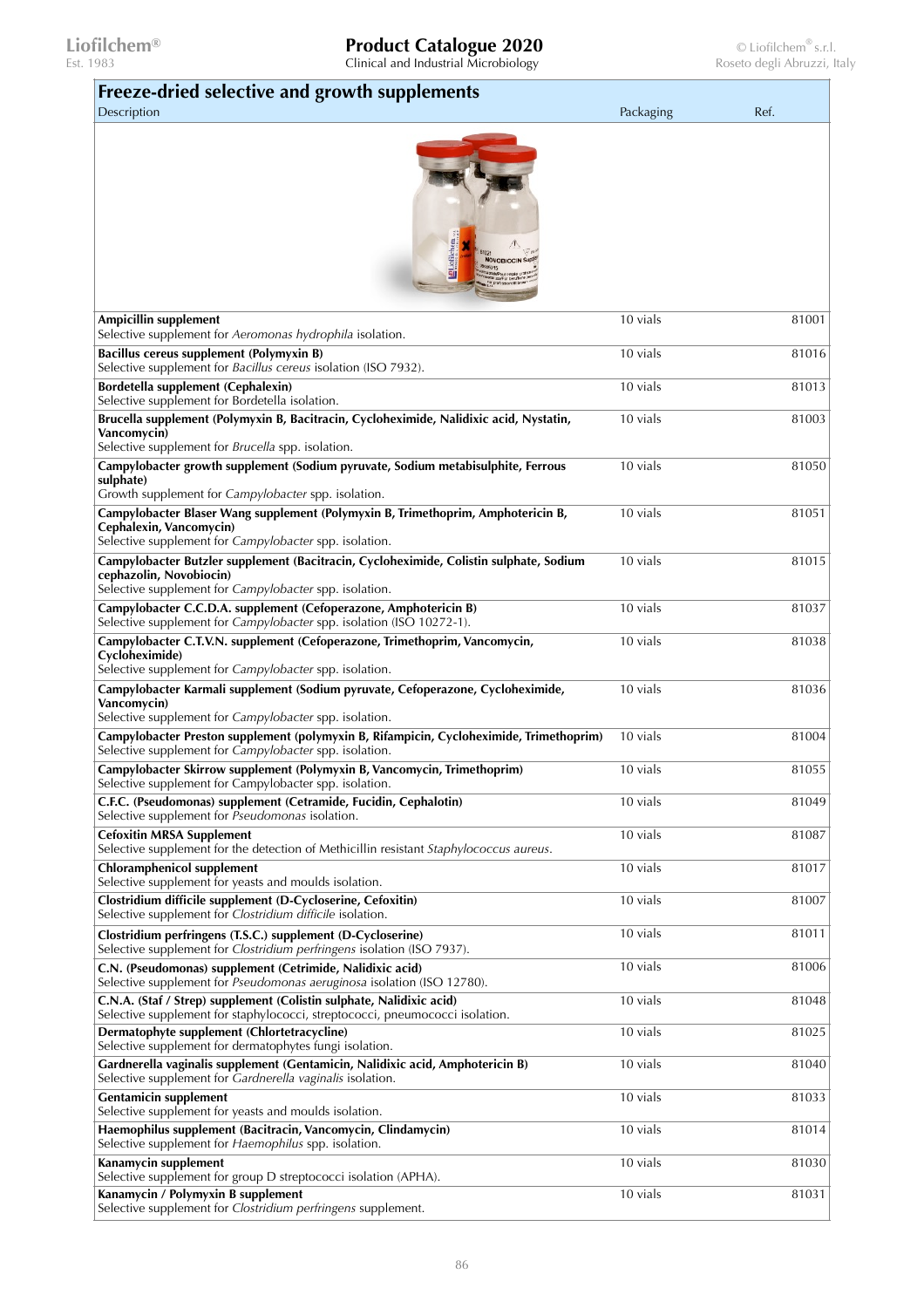| Freeze-dried selective and growth supplements<br>Description                                                                                                                | Packaging | Ref.  |
|-----------------------------------------------------------------------------------------------------------------------------------------------------------------------------|-----------|-------|
|                                                                                                                                                                             |           |       |
| Ampicillin supplement<br>Selective supplement for Aeromonas hydrophila isolation.                                                                                           | 10 vials  | 81001 |
| Bacillus cereus supplement (Polymyxin B)<br>Selective supplement for Bacillus cereus isolation (ISO 7932).                                                                  | 10 vials  | 81016 |
| Bordetella supplement (Cephalexin)<br>Selective supplement for Bordetella isolation.                                                                                        | 10 vials  | 81013 |
| Brucella supplement (Polymyxin B, Bacitracin, Cycloheximide, Nalidixic acid, Nystatin,<br>Vancomycin)                                                                       | 10 vials  | 81003 |
| Selective supplement for <i>Brucella</i> spp. isolation.<br>Campylobacter growth supplement (Sodium pyruvate, Sodium metabisulphite, Ferrous                                | 10 vials  | 81050 |
| sulphate)<br>Growth supplement for Campylobacter spp. isolation.                                                                                                            |           |       |
| Campylobacter Blaser Wang supplement (Polymyxin B, Trimethoprim, Amphotericin B,<br>Cephalexin, Vancomycin)<br>Selective supplement for Campylobacter spp. isolation.       | 10 vials  | 81051 |
| Campylobacter Butzler supplement (Bacitracin, Cycloheximide, Colistin sulphate, Sodium<br>cephazolin, Novobiocin)<br>Selective supplement for Campylobacter spp. isolation. | 10 vials  | 81015 |
| Campylobacter C.C.D.A. supplement (Cefoperazone, Amphotericin B)<br>Selective supplement for <i>Campylobacter</i> spp. isolation (ISO 10272-1).                             | 10 vials  | 81037 |
| Campylobacter C.T.V.N. supplement (Cefoperazone, Trimethoprim, Vancomycin,<br>Cycloheximide)<br>Selective supplement for Campylobacter spp. isolation.                      | 10 vials  | 81038 |
| Campylobacter Karmali supplement (Sodium pyruvate, Cefoperazone, Cycloheximide,<br>Vancomycin)<br>Selective supplement for Campylobacter spp. isolation.                    | 10 vials  | 81036 |
| Campylobacter Preston supplement (polymyxin B, Rifampicin, Cycloheximide, Trimethoprim)<br>Selective supplement for Campylobacter spp. isolation.                           | 10 vials  | 81004 |
| Campylobacter Skirrow supplement (Polymyxin B, Vancomycin, Trimethoprim)<br>Selective supplement for Campylobacter spp. isolation.                                          | 10 vials  | 81055 |
| C.F.C. (Pseudomonas) supplement (Cetramide, Fucidin, Cephalotin)<br>Selective supplement for Pseudomonas isolation.                                                         | 10 vials  | 81049 |
| <b>Cefoxitin MRSA Supplement</b><br>Selective supplement for the detection of Methicillin resistant Staphylococcus aureus.                                                  | 10 vials  | 81087 |
| <b>Chloramphenicol supplement</b><br>Selective supplement for yeasts and moulds isolation.                                                                                  | 10 vials  | 81017 |
| Clostridium difficile supplement (D-Cycloserine, Cefoxitin)<br>Selective supplement for Clostridium difficile isolation.                                                    | 10 vials  | 81007 |
| Clostridium perfringens (T.S.C.) supplement (D-Cycloserine)<br>Selective supplement for Clostridium perfringens isolation (ISO 7937).                                       | 10 vials  | 81011 |
| C.N. (Pseudomonas) supplement (Cetrimide, Nalidixic acid)<br>Selective supplement for Pseudomonas aeruginosa isolation (ISO 12780).                                         | 10 vials  | 81006 |
| C.N.A. (Staf / Strep) supplement (Colistin sulphate, Nalidixic acid)<br>Selective supplement for staphylococci, streptococci, pneumococci isolation.                        | 10 vials  | 81048 |
| Dermatophyte supplement (Chlortetracycline)<br>Selective supplement for dermatophytes fungi isolation.                                                                      | 10 vials  | 81025 |
| Gardnerella vaginalis supplement (Gentamicin, Nalidixic acid, Amphotericin B)<br>Selective supplement for Gardnerella vaginalis isolation.                                  | 10 vials  | 81040 |
| <b>Gentamicin supplement</b><br>Selective supplement for yeasts and moulds isolation.                                                                                       | 10 vials  | 81033 |
| Haemophilus supplement (Bacitracin, Vancomycin, Clindamycin)<br>Selective supplement for Haemophilus spp. isolation.                                                        | 10 vials  | 81014 |
| Kanamycin supplement<br>Selective supplement for group D streptococci isolation (APHA).                                                                                     | 10 vials  | 81030 |
| Kanamycin / Polymyxin B supplement<br>Selective supplement for Clostridium perfringens supplement.                                                                          | 10 vials  | 81031 |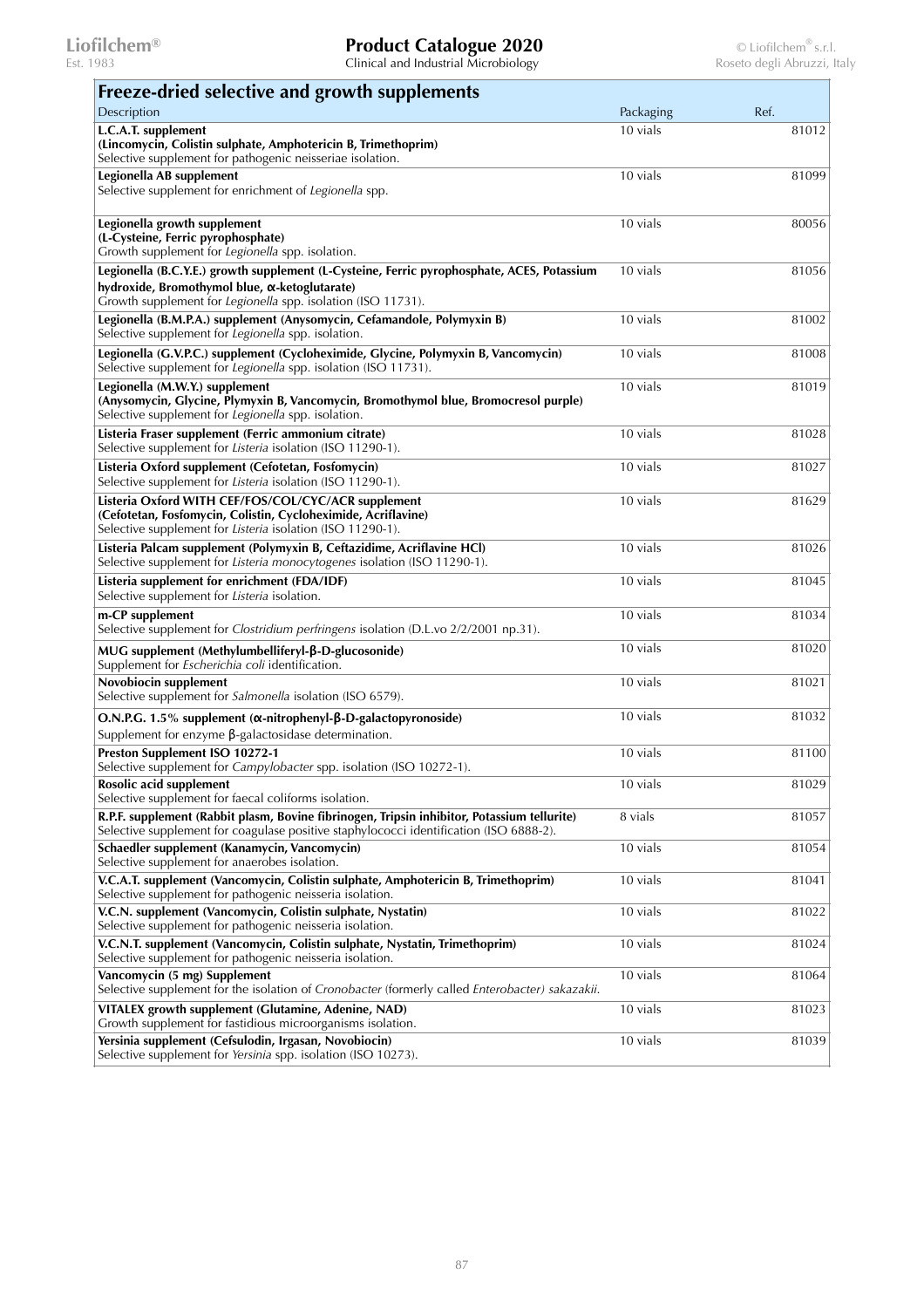| Freeze-dried selective and growth supplements                                                                                                                                                               |           |       |
|-------------------------------------------------------------------------------------------------------------------------------------------------------------------------------------------------------------|-----------|-------|
| Description                                                                                                                                                                                                 | Packaging | Ref.  |
| L.C.A.T. supplement<br>(Lincomycin, Colistin sulphate, Amphotericin B, Trimethoprim)<br>Selective supplement for pathogenic neisseriae isolation.                                                           | 10 vials  | 81012 |
| Legionella AB supplement<br>Selective supplement for enrichment of Legionella spp.                                                                                                                          | 10 vials  | 81099 |
| Legionella growth supplement<br>(L-Cysteine, Ferric pyrophosphate)<br>Growth supplement for Legionella spp. isolation.                                                                                      | 10 vials  | 80056 |
| Legionella (B.C.Y.E.) growth supplement (L-Cysteine, Ferric pyrophosphate, ACES, Potassium<br>hydroxide, Bromothymol blue, a-ketoglutarate)<br>Growth supplement for Legionella spp. isolation (ISO 11731). | 10 vials  | 81056 |
| Legionella (B.M.P.A.) supplement (Anysomycin, Cefamandole, Polymyxin B)<br>Selective supplement for Legionella spp. isolation.                                                                              | 10 vials  | 81002 |
| Legionella (G.V.P.C.) supplement (Cycloheximide, Glycine, Polymyxin B, Vancomycin)<br>Selective supplement for Legionella spp. isolation (ISO 11731).                                                       | 10 vials  | 81008 |
| Legionella (M.W.Y.) supplement<br>(Anysomycin, Glycine, Plymyxin B, Vancomycin, Bromothymol blue, Bromocresol purple)<br>Selective supplement for Legionella spp. isolation.                                | 10 vials  | 81019 |
| Listeria Fraser supplement (Ferric ammonium citrate)<br>Selective supplement for Listeria isolation (ISO 11290-1).                                                                                          | 10 vials  | 81028 |
| Listeria Oxford supplement (Cefotetan, Fosfomycin)<br>Selective supplement for Listeria isolation (ISO 11290-1).                                                                                            | 10 vials  | 81027 |
| Listeria Oxford WITH CEF/FOS/COL/CYC/ACR supplement<br>(Cefotetan, Fosfomycin, Colistin, Cycloheximide, Acriflavine)<br>Selective supplement for Listeria isolation (ISO 11290-1).                          | 10 vials  | 81629 |
| Listeria Palcam supplement (Polymyxin B, Ceftazidime, Acriflavine HCl)<br>Selective supplement for Listeria monocytogenes isolation (ISO 11290-1).                                                          | 10 vials  | 81026 |
| Listeria supplement for enrichment (FDA/IDF)<br>Selective supplement for Listeria isolation.                                                                                                                | 10 vials  | 81045 |
| m-CP supplement<br>Selective supplement for Clostridium perfringens isolation (D.L.vo 2/2/2001 np.31).                                                                                                      | 10 vials  | 81034 |
| MUG supplement (Methylumbelliferyl-β-D-glucosonide)<br>Supplement for Escherichia coli identification.                                                                                                      | 10 vials  | 81020 |
| Novobiocin supplement<br>Selective supplement for Salmonella isolation (ISO 6579).                                                                                                                          | 10 vials  | 81021 |
| O.N.P.G. 1.5% supplement (α-nitrophenyl-β-D-galactopyronoside)<br>Supplement for enzyme $\beta$ -galactosidase determination.                                                                               | 10 vials  | 81032 |
| Preston Supplement ISO 10272-1<br>Selective supplement for Campylobacter spp. isolation (ISO 10272-1).                                                                                                      | 10 vials  | 81100 |
| Rosolic acid supplement<br>Selective supplement for faecal coliforms isolation.                                                                                                                             | 10 vials  | 81029 |
| R.P.F. supplement (Rabbit plasm, Bovine fibrinogen, Tripsin inhibitor, Potassium tellurite)<br>Selective supplement for coagulase positive staphylococci identification (ISO 6888-2).                       | 8 vials   | 81057 |
| Schaedler supplement (Kanamycin, Vancomycin)<br>Selective supplement for anaerobes isolation.                                                                                                               | 10 vials  | 81054 |
| V.C.A.T. supplement (Vancomycin, Colistin sulphate, Amphotericin B, Trimethoprim)<br>Selective supplement for pathogenic neisseria isolation.                                                               | 10 vials  | 81041 |
| V.C.N. supplement (Vancomycin, Colistin sulphate, Nystatin)<br>Selective supplement for pathogenic neisseria isolation.                                                                                     | 10 vials  | 81022 |
| V.C.N.T. supplement (Vancomycin, Colistin sulphate, Nystatin, Trimethoprim)<br>Selective supplement for pathogenic neisseria isolation.                                                                     | 10 vials  | 81024 |
| Vancomycin (5 mg) Supplement<br>Selective supplement for the isolation of Cronobacter (formerly called Enterobacter) sakazakii.                                                                             | 10 vials  | 81064 |
| VITALEX growth supplement (Glutamine, Adenine, NAD)<br>Growth supplement for fastidious microorganisms isolation.                                                                                           | 10 vials  | 81023 |
| Yersinia supplement (Cefsulodin, Irgasan, Novobiocin)<br>Selective supplement for Yersinia spp. isolation (ISO 10273).                                                                                      | 10 vials  | 81039 |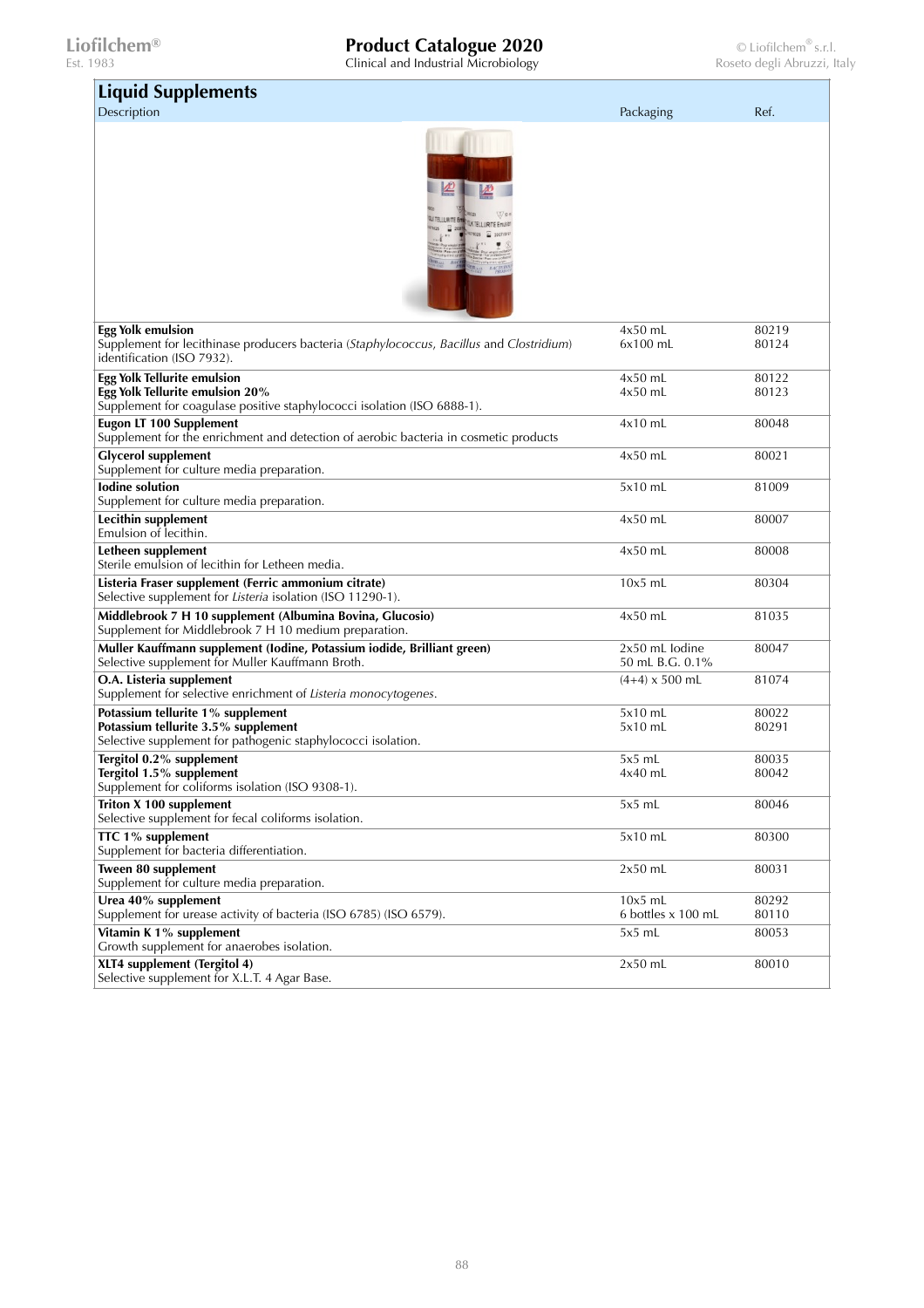$\sim 10^{-10}$ 

| <b>Liquid Supplements</b>                                                                                                                          |                                     |                |
|----------------------------------------------------------------------------------------------------------------------------------------------------|-------------------------------------|----------------|
| Description                                                                                                                                        | Packaging                           | Ref.           |
|                                                                                                                                                    |                                     |                |
| <b>Egg Yolk emulsion</b><br>Supplement for lecithinase producers bacteria (Staphylococcus, Bacillus and Clostridium)<br>identification (ISO 7932). | $4x50$ mL<br>$6x100$ mL             | 80219<br>80124 |
| <b>Egg Yolk Tellurite emulsion</b>                                                                                                                 | $4x50$ mL                           | 80122          |
| Egg Yolk Tellurite emulsion 20%                                                                                                                    | $4x50$ mL                           | 80123          |
| Supplement for coagulase positive staphylococci isolation (ISO 6888-1).                                                                            |                                     |                |
| <b>Eugon LT 100 Supplement</b><br>Supplement for the enrichment and detection of aerobic bacteria in cosmetic products                             | $4x10$ mL                           | 80048          |
| <b>Glycerol supplement</b><br>Supplement for culture media preparation.                                                                            | $4x50$ mL                           | 80021          |
| <b>lodine</b> solution<br>Supplement for culture media preparation.                                                                                | $5x10$ mL                           | 81009          |
| Lecithin supplement<br>Emulsion of lecithin.                                                                                                       | $4x50$ mL                           | 80007          |
| Letheen supplement<br>Sterile emulsion of lecithin for Letheen media.                                                                              | $4x50$ mL                           | 80008          |
| Listeria Fraser supplement (Ferric ammonium citrate)<br>Selective supplement for Listeria isolation (ISO 11290-1).                                 | $10x5$ mL                           | 80304          |
| Middlebrook 7 H 10 supplement (Albumina Bovina, Glucosio)<br>Supplement for Middlebrook 7 H 10 medium preparation.                                 | $4x50$ mL                           | 81035          |
| Muller Kauffmann supplement (Iodine, Potassium iodide, Brilliant green)<br>Selective supplement for Muller Kauffmann Broth.                        | $2x50$ mL lodine<br>50 mL B.G. 0.1% | 80047          |
| O.A. Listeria supplement<br>Supplement for selective enrichment of Listeria monocytogenes.                                                         | $(4+4)$ x 500 mL                    | 81074          |
| Potassium tellurite 1% supplement                                                                                                                  | 5x10 mL                             | 80022          |
| Potassium tellurite 3.5% supplement<br>Selective supplement for pathogenic staphylococci isolation.                                                | 5x10 mL                             | 80291          |
| Tergitol 0.2% supplement                                                                                                                           | $5x5$ mL                            | 80035          |
| Tergitol 1.5% supplement                                                                                                                           | 4x40 mL                             | 80042          |
| Supplement for coliforms isolation (ISO 9308-1).                                                                                                   |                                     |                |
| Triton X 100 supplement<br>Selective supplement for fecal coliforms isolation.                                                                     | 5x5 mL                              | 80046          |
| TTC 1% supplement<br>Supplement for bacteria differentiation.                                                                                      | $5x10$ mL                           | 80300          |
| Tween 80 supplement<br>Supplement for culture media preparation.                                                                                   | $2x50$ mL                           | 80031          |
| Urea 40% supplement<br>Supplement for urease activity of bacteria (ISO 6785) (ISO 6579).                                                           | $10x5$ mL<br>6 bottles x 100 mL     | 80292<br>80110 |
| Vitamin K 1% supplement<br>Growth supplement for anaerobes isolation.                                                                              | $5x5$ mL                            | 80053          |
| XLT4 supplement (Tergitol 4)<br>Selective supplement for X.L.T. 4 Agar Base.                                                                       | $2x50$ mL                           | 80010          |